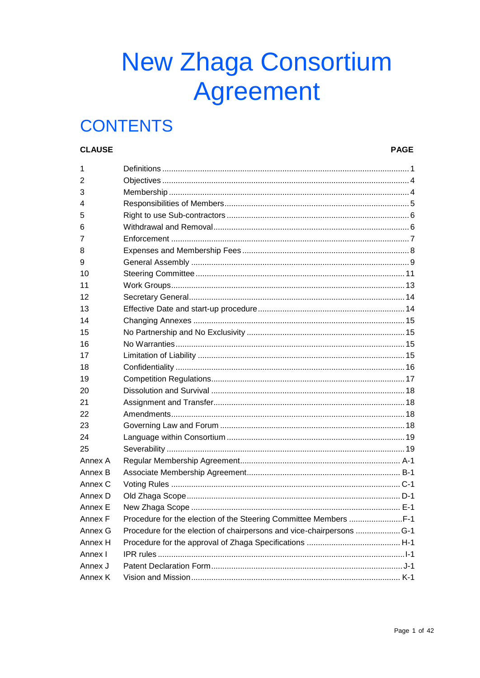# **New Zhaga Consortium Agreement**

## **CONTENTS**

#### **CLAUSE**

#### **PAGE**

| 1       |  |
|---------|--|
| 2       |  |
| 3       |  |
| 4       |  |
| 5       |  |
| 6       |  |
| 7       |  |
| 8       |  |
| 9       |  |
| 10      |  |
| 11      |  |
| 12      |  |
| 13      |  |
| 14      |  |
| 15      |  |
| 16      |  |
| 17      |  |
| 18      |  |
| 19      |  |
| 20      |  |
| 21      |  |
| 22      |  |
| 23      |  |
| 24      |  |
| 25      |  |
| Annex A |  |
| Annex B |  |
| Annex C |  |
| Annex D |  |
| Annex E |  |
| Annex F |  |
| Annex G |  |
| Annex H |  |
| Annex I |  |
| Annex J |  |
| Annex K |  |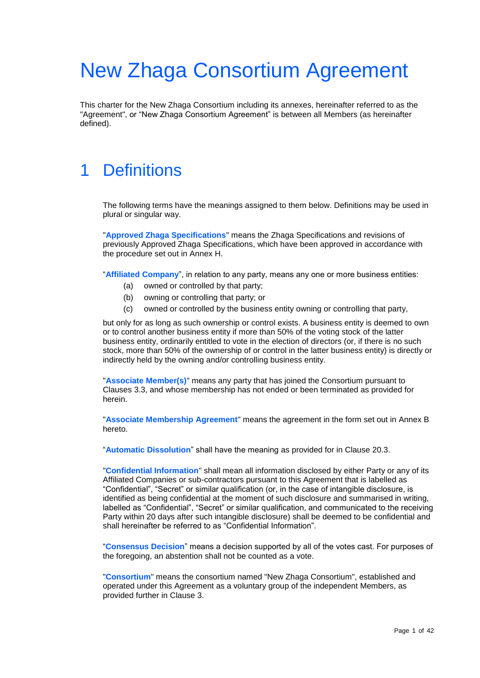# New Zhaga Consortium Agreement

<span id="page-1-0"></span>This charter for the New Zhaga Consortium including its annexes, hereinafter referred to as the "Agreement", or "New Zhaga Consortium Agreement" is between all Members (as hereinafter defined).

## 1 Definitions

The following terms have the meanings assigned to them below. Definitions may be used in plural or singular way.

"**Approved Zhaga Specifications**" means the Zhaga Specifications and revisions of previously Approved Zhaga Specifications, which have been approved in accordance with the procedure set out in Annex H.

"**Affiliated Company**", in relation to any party, means any one or more business entities:

- (a) owned or controlled by that party;
- (b) owning or controlling that party; or
- (c) owned or controlled by the business entity owning or controlling that party,

but only for as long as such ownership or control exists. A business entity is deemed to own or to control another business entity if more than 50% of the voting stock of the latter business entity, ordinarily entitled to vote in the election of directors (or, if there is no such stock, more than 50% of the ownership of or control in the latter business entity) is directly or indirectly held by the owning and/or controlling business entity.

"**Associate Member(s)**" means any party that has joined the Consortium pursuant to Clauses 3.3, and whose membership has not ended or been terminated as provided for herein.

"**Associate Membership Agreement**" means the agreement in the form set out in Annex B hereto.

"**Automatic Dissolution**" shall have the meaning as provided for in Clause 20.3.

"**Confidential Information**" shall mean all information disclosed by either Party or any of its Affiliated Companies or sub-contractors pursuant to this Agreement that is labelled as "Confidential", "Secret" or similar qualification (or, in the case of intangible disclosure, is identified as being confidential at the moment of such disclosure and summarised in writing, labelled as "Confidential", "Secret" or similar qualification, and communicated to the receiving Party within 20 days after such intangible disclosure) shall be deemed to be confidential and shall hereinafter be referred to as "Confidential Information".

"**Consensus Decision**" means a decision supported by all of the votes cast. For purposes of the foregoing, an abstention shall not be counted as a vote.

"**Consortium**" means the consortium named "New Zhaga Consortium", established and operated under this Agreement as a voluntary group of the independent Members, as provided further in Clause 3.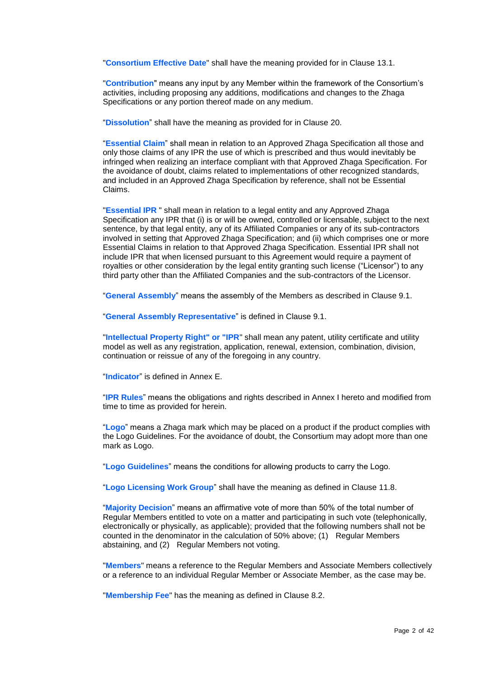"**Consortium Effective Date**" shall have the meaning provided for in Clause [13.1.](#page-14-2)

"**Contribution**" means any input by any Member within the framework of the Consortium's activities, including proposing any additions, modifications and changes to the Zhaga Specifications or any portion thereof made on any medium.

"**Dissolution**" shall have the meaning as provided for in Clause 20.

"**Essential Claim**" shall mean in relation to an Approved Zhaga Specification all those and only those claims of any IPR the use of which is prescribed and thus would inevitably be infringed when realizing an interface compliant with that Approved Zhaga Specification. For the avoidance of doubt, claims related to implementations of other recognized standards, and included in an Approved Zhaga Specification by reference, shall not be Essential Claims.

"**Essential IPR** " shall mean in relation to a legal entity and any Approved Zhaga Specification any IPR that (i) is or will be owned, controlled or licensable, subject to the next sentence, by that legal entity, any of its Affiliated Companies or any of its sub-contractors involved in setting that Approved Zhaga Specification; and (ii) which comprises one or more Essential Claims in relation to that Approved Zhaga Specification. Essential IPR shall not include IPR that when licensed pursuant to this Agreement would require a payment of royalties or other consideration by the legal entity granting such license ("Licensor") to any third party other than the Affiliated Companies and the sub-contractors of the Licensor.

"**General Assembly**" means the assembly of the Members as described in Clause 9.1.

"**General Assembly Representative**" is defined in Clause 9.1.

"**Intellectual Property Right" or "IPR**" shall mean any patent, utility certificate and utility model as well as any registration, application, renewal, extension, combination, division, continuation or reissue of any of the foregoing in any country.

"**Indicator**" is defined in [Annex](#page-28-1) E.

"**IPR Rules**" means the obligations and rights described in [Annex](#page-32-1) I hereto and modified from time to time as provided for herein.

"**Logo**" means a Zhaga mark which may be placed on a product if the product complies with the Logo Guidelines. For the avoidance of doubt, the Consortium may adopt more than one mark as Logo.

"**Logo Guidelines**" means the conditions for allowing products to carry the Logo.

"**Logo Licensing Work Group**" shall have the meaning as defined in Clause 11.8.

"**Majority Decision**" means an affirmative vote of more than 50% of the total number of Regular Members entitled to vote on a matter and participating in such vote (telephonically, electronically or physically, as applicable); provided that the following numbers shall not be counted in the denominator in the calculation of 50% above; (1) Regular Members abstaining, and (2) Regular Members not voting.

"**Members**" means a reference to the Regular Members and Associate Members collectively or a reference to an individual Regular Member or Associate Member, as the case may be.

"**Membership Fee**" has the meaning as defined in Clause [8.2.](#page-8-1)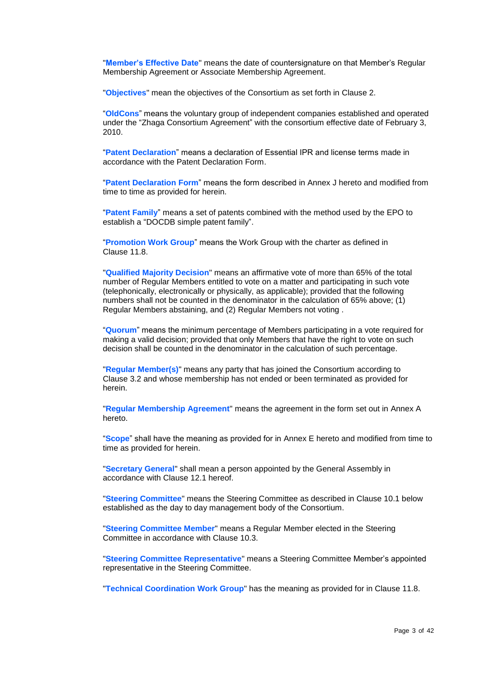"**Member's Effective Date**" means the date of countersignature on that Member's Regular Membership Agreement or Associate Membership Agreement.

"**Objectives**" mean the objectives of the Consortium as set forth in Clause 2.

"**OldCons**" means the voluntary group of independent companies established and operated under the "Zhaga Consortium Agreement" with the consortium effective date of February 3, 2010.

"**Patent Declaration**" means a declaration of Essential IPR and license terms made in accordance with the Patent Declaration Form.

"**Patent Declaration Form**" means the form described in [Annex](#page-38-0) J hereto and modified from time to time as provided for herein.

"**Patent Family**" means a set of patents combined with the method used by the EPO to establish a "DOCDB simple patent family".

"**Promotion Work Group**" means the Work Group with the charter as defined in Clause 11.8.

"**Qualified Majority Decision**" means an affirmative vote of more than 65% of the total number of Regular Members entitled to vote on a matter and participating in such vote (telephonically, electronically or physically, as applicable); provided that the following numbers shall not be counted in the denominator in the calculation of 65% above; (1) Regular Members abstaining, and (2) Regular Members not voting .

"**Quorum**" means the minimum percentage of Members participating in a vote required for making a valid decision; provided that only Members that have the right to vote on such decision shall be counted in the denominator in the calculation of such percentage.

"**Regular Member(s)**" means any party that has joined the Consortium according to Clause [3.2](#page-5-1) and whose membership has not ended or been terminated as provided for herein.

"**Regular Membership Agreement**" means the agreement in the form set out in Annex A hereto.

"**Scope**" shall have the meaning as provided for in [Annex](#page-28-1) E hereto and modified from time to time as provided for herein.

"**Secretary General**" shall mean a person appointed by the General Assembly in accordance with Clause 12.1 hereof.

"**Steering Committee**" means the Steering Committee as described in Clause 10.1 below established as the day to day management body of the Consortium.

"**Steering Committee Member**" means a Regular Member elected in the Steering Committee in accordance with Clause 10.3.

"**Steering Committee Representative**" means a Steering Committee Member's appointed representative in the Steering Committee.

"**Technical Coordination Work Group**" has the meaning as provided for in Clause 11.8.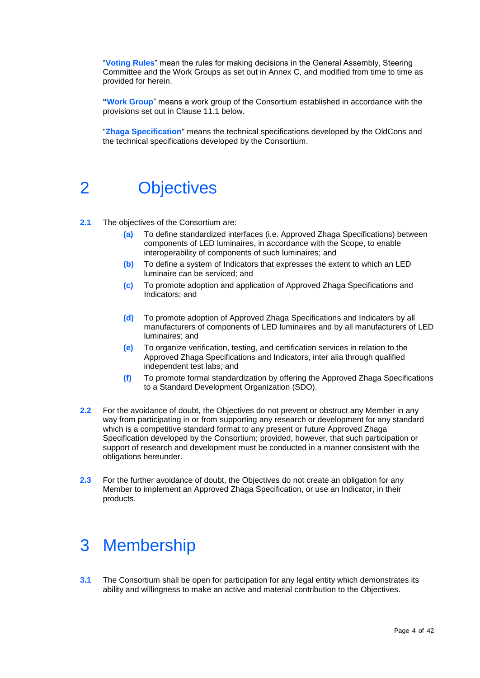"**Voting Rules**" mean the rules for making decisions in the General Assembly, Steering Committee and the Work Groups as set out in Annex C, and modified from time to time as provided for herein.

**"Work Group**" means a work group of the Consortium established in accordance with the provisions set out in Clause 11.1 below.

<span id="page-4-0"></span>"**Zhaga Specification**" means the technical specifications developed by the OldCons and the technical specifications developed by the Consortium.

### 2 Objectives

- **2.1** The objectives of the Consortium are:
	- **(a)** To define standardized interfaces (i.e. Approved Zhaga Specifications) between components of LED luminaires, in accordance with the Scope, to enable interoperability of components of such luminaires; and
	- **(b)** To define a system of Indicators that expresses the extent to which an LED luminaire can be serviced; and
	- **(c)** To promote adoption and application of Approved Zhaga Specifications and Indicators; and
	- **(d)** To promote adoption of Approved Zhaga Specifications and Indicators by all manufacturers of components of LED luminaires and by all manufacturers of LED luminaires; and
	- **(e)** To organize verification, testing, and certification services in relation to the Approved Zhaga Specifications and Indicators, inter alia through qualified independent test labs; and
	- **(f)** To promote formal standardization by offering the Approved Zhaga Specifications to a Standard Development Organization (SDO).
- **2.2** For the avoidance of doubt, the Objectives do not prevent or obstruct any Member in any way from participating in or from supporting any research or development for any standard which is a competitive standard format to any present or future Approved Zhaga Specification developed by the Consortium; provided, however, that such participation or support of research and development must be conducted in a manner consistent with the obligations hereunder.
- <span id="page-4-1"></span>**2.3** For the further avoidance of doubt, the Objectives do not create an obligation for any Member to implement an Approved Zhaga Specification, or use an Indicator, in their products.

### 3 Membership

**3.1** The Consortium shall be open for participation for any legal entity which demonstrates its ability and willingness to make an active and material contribution to the Objectives.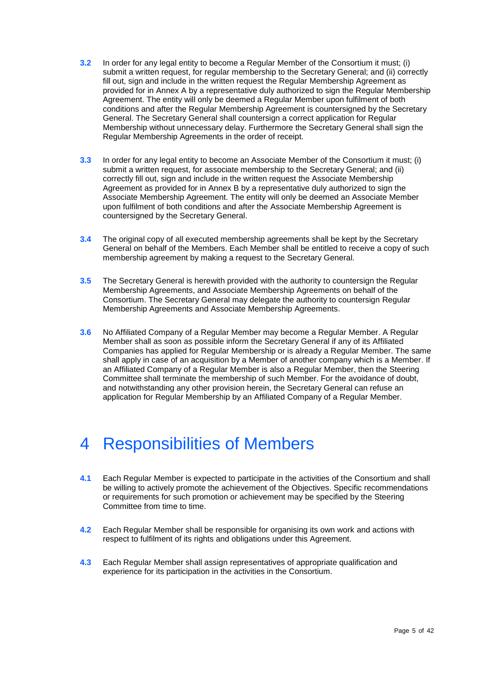- <span id="page-5-1"></span>**3.2** In order for any legal entity to become a Regular Member of the Consortium it must; (i) submit a written request, for regular membership to the Secretary General; and (ii) correctly fill out, sign and include in the written request the Regular Membership Agreement as provided for in Annex A by a representative duly authorized to sign the Regular Membership Agreement. The entity will only be deemed a Regular Member upon fulfilment of both conditions and after the Regular Membership Agreement is countersigned by the Secretary General. The Secretary General shall countersign a correct application for Regular Membership without unnecessary delay. Furthermore the Secretary General shall sign the Regular Membership Agreements in the order of receipt.
- **3.3** In order for any legal entity to become an Associate Member of the Consortium it must; (i) submit a written request, for associate membership to the Secretary General; and (ii) correctly fill out, sign and include in the written request the Associate Membership Agreement as provided for in Annex B by a representative duly authorized to sign the Associate Membership Agreement. The entity will only be deemed an Associate Member upon fulfilment of both conditions and after the Associate Membership Agreement is countersigned by the Secretary General.
- **3.4** The original copy of all executed membership agreements shall be kept by the Secretary General on behalf of the Members. Each Member shall be entitled to receive a copy of such membership agreement by making a request to the Secretary General.
- **3.5** The Secretary General is herewith provided with the authority to countersign the Regular Membership Agreements, and Associate Membership Agreements on behalf of the Consortium. The Secretary General may delegate the authority to countersign Regular Membership Agreements and Associate Membership Agreements.
- **3.6** No Affiliated Company of a Regular Member may become a Regular Member. A Regular Member shall as soon as possible inform the Secretary General if any of its Affiliated Companies has applied for Regular Membership or is already a Regular Member. The same shall apply in case of an acquisition by a Member of another company which is a Member. If an Affiliated Company of a Regular Member is also a Regular Member, then the Steering Committee shall terminate the membership of such Member. For the avoidance of doubt, and notwithstanding any other provision herein, the Secretary General can refuse an application for Regular Membership by an Affiliated Company of a Regular Member.

## <span id="page-5-0"></span>4 Responsibilities of Members

- **4.1** Each Regular Member is expected to participate in the activities of the Consortium and shall be willing to actively promote the achievement of the Objectives. Specific recommendations or requirements for such promotion or achievement may be specified by the Steering Committee from time to time.
- **4.2** Each Regular Member shall be responsible for organising its own work and actions with respect to fulfilment of its rights and obligations under this Agreement.
- **4.3** Each Regular Member shall assign representatives of appropriate qualification and experience for its participation in the activities in the Consortium.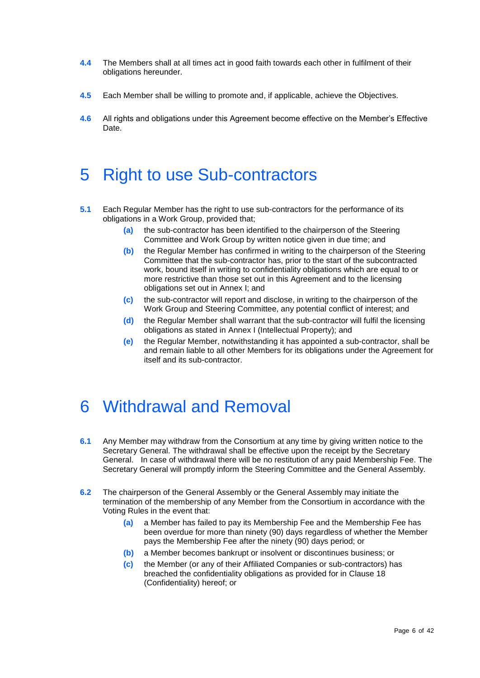- **4.4** The Members shall at all times act in good faith towards each other in fulfilment of their obligations hereunder.
- **4.5** Each Member shall be willing to promote and, if applicable, achieve the Objectives.
- <span id="page-6-2"></span><span id="page-6-0"></span>**4.6** All rights and obligations under this Agreement become effective on the Member's Effective Date.

## 5 Right to use Sub-contractors

- **5.1** Each Regular Member has the right to use sub-contractors for the performance of its obligations in a Work Group, provided that;
	- **(a)** the sub-contractor has been identified to the chairperson of the Steering Committee and Work Group by written notice given in due time; and
	- **(b)** the Regular Member has confirmed in writing to the chairperson of the Steering Committee that the sub-contractor has, prior to the start of the subcontracted work, bound itself in writing to confidentiality obligations which are equal to or more restrictive than those set out in this Agreement and to the licensing obligations set out in [Annex](#page-32-1) I; and
	- **(c)** the sub-contractor will report and disclose, in writing to the chairperson of the Work Group and Steering Committee, any potential conflict of interest; and
	- **(d)** the Regular Member shall warrant that the sub-contractor will fulfil the licensing obligations as stated in [Annex](#page-32-1) I (Intellectual Property); and
	- **(e)** the Regular Member, notwithstanding it has appointed a sub-contractor, shall be and remain liable to all other Members for its obligations under the Agreement for itself and its sub-contractor.

## <span id="page-6-3"></span><span id="page-6-1"></span>6 Withdrawal and Removal

- **6.1** Any Member may withdraw from the Consortium at any time by giving written notice to the Secretary General. The withdrawal shall be effective upon the receipt by the Secretary General. In case of withdrawal there will be no restitution of any paid Membership Fee. The Secretary General will promptly inform the Steering Committee and the General Assembly.
- **6.2** The chairperson of the General Assembly or the General Assembly may initiate the termination of the membership of any Member from the Consortium in accordance with the Voting Rules in the event that:
	- **(a)** a Member has failed to pay its Membership Fee and the Membership Fee has been overdue for more than ninety (90) days regardless of whether the Member pays the Membership Fee after the ninety (90) days period; or
	- **(b)** a Member becomes bankrupt or insolvent or discontinues business; or
	- **(c)** the Member (or any of their Affiliated Companies or sub-contractors) has breached the confidentiality obligations as provided for in Clause 18 (Confidentiality) hereof; or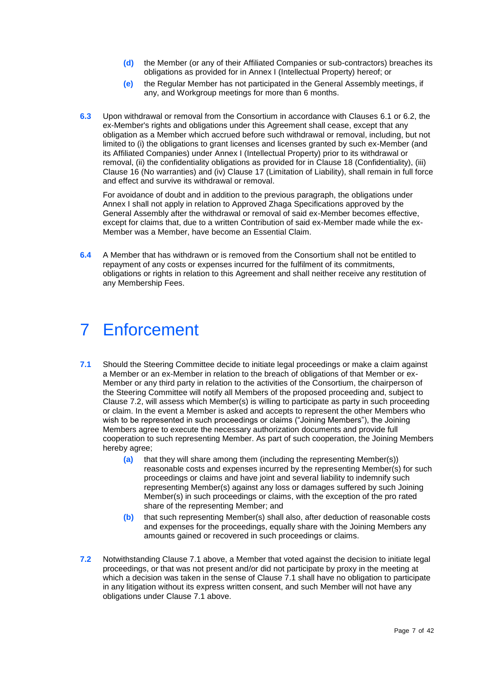- **(d)** the Member (or any of their Affiliated Companies or sub-contractors) breaches its obligations as provided for in [Annex](#page-32-1) I (Intellectual Property) hereof; or
- **(e)** the Regular Member has not participated in the General Assembly meetings, if any, and Workgroup meetings for more than 6 months.
- **6.3** Upon withdrawal or removal from the Consortium in accordance with Clauses 6.1 or 6.2, the ex-Member's rights and obligations under this Agreement shall cease, except that any obligation as a Member which accrued before such withdrawal or removal, including, but not limited to (i) the obligations to grant licenses and licenses granted by such ex-Member (and its Affiliated Companies) under [Annex](#page-32-1) I (Intellectual Property) prior to its withdrawal or removal, (ii) the confidentiality obligations as provided for in Clause 18 (Confidentiality), (iii) Clause 16 (No warranties) and (iv) Clause 17 (Limitation of Liability), shall remain in full force and effect and survive its withdrawal or removal.

For avoidance of doubt and in addition to the previous paragraph, the obligations under [Annex](#page-32-1) I shall not apply in relation to Approved Zhaga Specifications approved by the General Assembly after the withdrawal or removal of said ex-Member becomes effective, except for claims that, due to a written Contribution of said ex-Member made while the ex-Member was a Member, have become an Essential Claim.

**6.4** A Member that has withdrawn or is removed from the Consortium shall not be entitled to repayment of any costs or expenses incurred for the fulfilment of its commitments, obligations or rights in relation to this Agreement and shall neither receive any restitution of any Membership Fees.

## <span id="page-7-0"></span>7 Enforcement

- <span id="page-7-1"></span>**7.1** Should the Steering Committee decide to initiate legal proceedings or make a claim against a Member or an ex-Member in relation to the breach of obligations of that Member or ex-Member or any third party in relation to the activities of the Consortium, the chairperson of the Steering Committee will notify all Members of the proposed proceeding and, subject to Clause 7.2, will assess which Member(s) is willing to participate as party in such proceeding or claim. In the event a Member is asked and accepts to represent the other Members who wish to be represented in such proceedings or claims ("Joining Members"), the Joining Members agree to execute the necessary authorization documents and provide full cooperation to such representing Member. As part of such cooperation, the Joining Members hereby agree;
	- **(a)** that they will share among them (including the representing Member(s)) reasonable costs and expenses incurred by the representing Member(s) for such proceedings or claims and have joint and several liability to indemnify such representing Member(s) against any loss or damages suffered by such Joining Member(s) in such proceedings or claims, with the exception of the pro rated share of the representing Member; and
	- **(b)** that such representing Member(s) shall also, after deduction of reasonable costs and expenses for the proceedings, equally share with the Joining Members any amounts gained or recovered in such proceedings or claims.
- **7.2** Notwithstanding Clause 7.1 above, a Member that voted against the decision to initiate legal proceedings, or that was not present and/or did not participate by proxy in the meeting at which a decision was taken in the sense of Clause 7.1 shall have no obligation to participate in any litigation without its express written consent, and such Member will not have any obligations under Clause 7.1 above.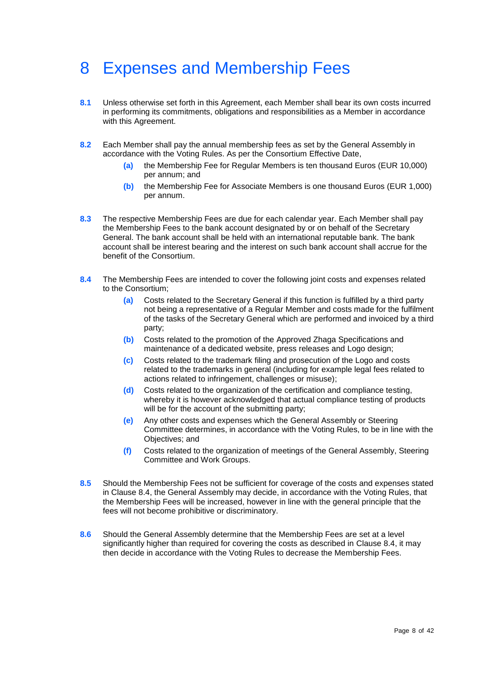## <span id="page-8-0"></span>8 Expenses and Membership Fees

- **8.1** Unless otherwise set forth in this Agreement, each Member shall bear its own costs incurred in performing its commitments, obligations and responsibilities as a Member in accordance with this Agreement.
- <span id="page-8-1"></span>**8.2** Each Member shall pay the annual membership fees as set by the General Assembly in accordance with the Voting Rules. As per the Consortium Effective Date,
	- **(a)** the Membership Fee for Regular Members is ten thousand Euros (EUR 10,000) per annum; and
	- **(b)** the Membership Fee for Associate Members is one thousand Euros (EUR 1,000) per annum.
- **8.3** The respective Membership Fees are due for each calendar year. Each Member shall pay the Membership Fees to the bank account designated by or on behalf of the Secretary General. The bank account shall be held with an international reputable bank. The bank account shall be interest bearing and the interest on such bank account shall accrue for the benefit of the Consortium.
- **8.4** The Membership Fees are intended to cover the following joint costs and expenses related to the Consortium;
	- **(a)** Costs related to the Secretary General if this function is fulfilled by a third party not being a representative of a Regular Member and costs made for the fulfilment of the tasks of the Secretary General which are performed and invoiced by a third party;
	- **(b)** Costs related to the promotion of the Approved Zhaga Specifications and maintenance of a dedicated website, press releases and Logo design;
	- **(c)** Costs related to the trademark filing and prosecution of the Logo and costs related to the trademarks in general (including for example legal fees related to actions related to infringement, challenges or misuse);
	- **(d)** Costs related to the organization of the certification and compliance testing, whereby it is however acknowledged that actual compliance testing of products will be for the account of the submitting party;
	- **(e)** Any other costs and expenses which the General Assembly or Steering Committee determines, in accordance with the Voting Rules, to be in line with the Objectives; and
	- **(f)** Costs related to the organization of meetings of the General Assembly, Steering Committee and Work Groups.
- <span id="page-8-4"></span><span id="page-8-2"></span>**8.5** Should the Membership Fees not be sufficient for coverage of the costs and expenses stated in Clause 8.4, the General Assembly may decide, in accordance with the Voting Rules, that the Membership Fees will be increased, however in line with the general principle that the fees will not become prohibitive or discriminatory.
- <span id="page-8-3"></span>**8.6** Should the General Assembly determine that the Membership Fees are set at a level significantly higher than required for covering the costs as described in Clause 8.4, it may then decide in accordance with the Voting Rules to decrease the Membership Fees.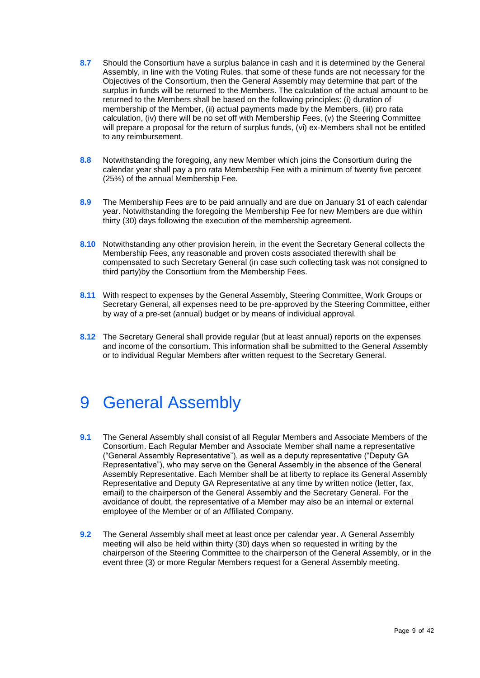- <span id="page-9-2"></span>**8.7** Should the Consortium have a surplus balance in cash and it is determined by the General Assembly, in line with the Voting Rules, that some of these funds are not necessary for the Objectives of the Consortium, then the General Assembly may determine that part of the surplus in funds will be returned to the Members. The calculation of the actual amount to be returned to the Members shall be based on the following principles: (i) duration of membership of the Member, (ii) actual payments made by the Members, (iii) pro rata calculation, (iv) there will be no set off with Membership Fees, (v) the Steering Committee will prepare a proposal for the return of surplus funds, (vi) ex-Members shall not be entitled to any reimbursement.
- **8.8** Notwithstanding the foregoing, any new Member which joins the Consortium during the calendar year shall pay a pro rata Membership Fee with a minimum of twenty five percent (25%) of the annual Membership Fee.
- **8.9** The Membership Fees are to be paid annually and are due on January 31 of each calendar year. Notwithstanding the foregoing the Membership Fee for new Members are due within thirty (30) days following the execution of the membership agreement.
- **8.10** Notwithstanding any other provision herein, in the event the Secretary General collects the Membership Fees, any reasonable and proven costs associated therewith shall be compensated to such Secretary General (in case such collecting task was not consigned to third party)by the Consortium from the Membership Fees.
- **8.11** With respect to expenses by the General Assembly, Steering Committee, Work Groups or Secretary General, all expenses need to be pre-approved by the Steering Committee, either by way of a pre-set (annual) budget or by means of individual approval.
- <span id="page-9-0"></span>**8.12** The Secretary General shall provide regular (but at least annual) reports on the expenses and income of the consortium. This information shall be submitted to the General Assembly or to individual Regular Members after written request to the Secretary General.

## 9 General Assembly

- **9.1** The General Assembly shall consist of all Regular Members and Associate Members of the Consortium. Each Regular Member and Associate Member shall name a representative ("General Assembly Representative"), as well as a deputy representative ("Deputy GA Representative"), who may serve on the General Assembly in the absence of the General Assembly Representative. Each Member shall be at liberty to replace its General Assembly Representative and Deputy GA Representative at any time by written notice (letter, fax, email) to the chairperson of the General Assembly and the Secretary General. For the avoidance of doubt, the representative of a Member may also be an internal or external employee of the Member or of an Affiliated Company.
- <span id="page-9-1"></span>**9.2** The General Assembly shall meet at least once per calendar year. A General Assembly meeting will also be held within thirty (30) days when so requested in writing by the chairperson of the Steering Committee to the chairperson of the General Assembly, or in the event three (3) or more Regular Members request for a General Assembly meeting.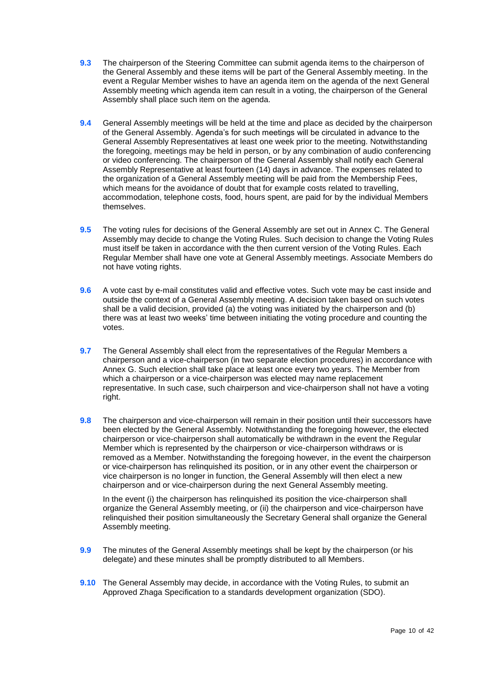- **9.3** The chairperson of the Steering Committee can submit agenda items to the chairperson of the General Assembly and these items will be part of the General Assembly meeting. In the event a Regular Member wishes to have an agenda item on the agenda of the next General Assembly meeting which agenda item can result in a voting, the chairperson of the General Assembly shall place such item on the agenda.
- **9.4** General Assembly meetings will be held at the time and place as decided by the chairperson of the General Assembly. Agenda's for such meetings will be circulated in advance to the General Assembly Representatives at least one week prior to the meeting. Notwithstanding the foregoing, meetings may be held in person, or by any combination of audio conferencing or video conferencing. The chairperson of the General Assembly shall notify each General Assembly Representative at least fourteen (14) days in advance. The expenses related to the organization of a General Assembly meeting will be paid from the Membership Fees, which means for the avoidance of doubt that for example costs related to travelling. accommodation, telephone costs, food, hours spent, are paid for by the individual Members themselves.
- **9.5** The voting rules for decisions of the General Assembly are set out in Annex C. The General Assembly may decide to change the Voting Rules. Such decision to change the Voting Rules must itself be taken in accordance with the then current version of the Voting Rules. Each Regular Member shall have one vote at General Assembly meetings. Associate Members do not have voting rights.
- **9.6** A vote cast by e-mail constitutes valid and effective votes. Such vote may be cast inside and outside the context of a General Assembly meeting. A decision taken based on such votes shall be a valid decision, provided (a) the voting was initiated by the chairperson and (b) there was at least two weeks' time between initiating the voting procedure and counting the votes.
- **9.7** The General Assembly shall elect from the representatives of the Regular Members a chairperson and a vice-chairperson (in two separate election procedures) in accordance with Annex G. Such election shall take place at least once every two years. The Member from which a chairperson or a vice-chairperson was elected may name replacement representative. In such case, such chairperson and vice-chairperson shall not have a voting right.
- **9.8** The chairperson and vice-chairperson will remain in their position until their successors have been elected by the General Assembly. Notwithstanding the foregoing however, the elected chairperson or vice-chairperson shall automatically be withdrawn in the event the Regular Member which is represented by the chairperson or vice-chairperson withdraws or is removed as a Member. Notwithstanding the foregoing however, in the event the chairperson or vice-chairperson has relinquished its position, or in any other event the chairperson or vice chairperson is no longer in function, the General Assembly will then elect a new chairperson and or vice-chairperson during the next General Assembly meeting.

In the event (i) the chairperson has relinquished its position the vice-chairperson shall organize the General Assembly meeting, or (ii) the chairperson and vice-chairperson have relinquished their position simultaneously the Secretary General shall organize the General Assembly meeting.

- **9.9** The minutes of the General Assembly meetings shall be kept by the chairperson (or his delegate) and these minutes shall be promptly distributed to all Members.
- **9.10** The General Assembly may decide, in accordance with the Voting Rules, to submit an Approved Zhaga Specification to a standards development organization (SDO).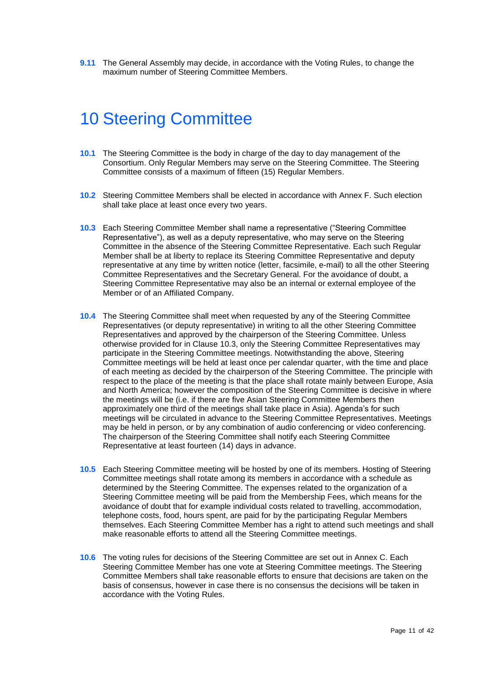<span id="page-11-0"></span>**9.11** The General Assembly may decide, in accordance with the Voting Rules, to change the maximum number of Steering Committee Members.

## 10 Steering Committee

- **10.1** The Steering Committee is the body in charge of the day to day management of the Consortium. Only Regular Members may serve on the Steering Committee. The Steering Committee consists of a maximum of fifteen (15) Regular Members.
- <span id="page-11-2"></span>**10.2** Steering Committee Members shall be elected in accordance with Annex F. Such election shall take place at least once every two years.
- <span id="page-11-1"></span>**10.3** Each Steering Committee Member shall name a representative ("Steering Committee Representative"), as well as a deputy representative, who may serve on the Steering Committee in the absence of the Steering Committee Representative. Each such Regular Member shall be at liberty to replace its Steering Committee Representative and deputy representative at any time by written notice (letter, facsimile, e-mail) to all the other Steering Committee Representatives and the Secretary General. For the avoidance of doubt, a Steering Committee Representative may also be an internal or external employee of the Member or of an Affiliated Company.
- **10.4** The Steering Committee shall meet when requested by any of the Steering Committee Representatives (or deputy representative) in writing to all the other Steering Committee Representatives and approved by the chairperson of the Steering Committee. Unless otherwise provided for in Clause [10.3,](#page-11-1) only the Steering Committee Representatives may participate in the Steering Committee meetings. Notwithstanding the above, Steering Committee meetings will be held at least once per calendar quarter, with the time and place of each meeting as decided by the chairperson of the Steering Committee. The principle with respect to the place of the meeting is that the place shall rotate mainly between Europe, Asia and North America; however the composition of the Steering Committee is decisive in where the meetings will be (i.e. if there are five Asian Steering Committee Members then approximately one third of the meetings shall take place in Asia). Agenda's for such meetings will be circulated in advance to the Steering Committee Representatives. Meetings may be held in person, or by any combination of audio conferencing or video conferencing. The chairperson of the Steering Committee shall notify each Steering Committee Representative at least fourteen (14) days in advance.
- **10.5** Each Steering Committee meeting will be hosted by one of its members. Hosting of Steering Committee meetings shall rotate among its members in accordance with a schedule as determined by the Steering Committee. The expenses related to the organization of a Steering Committee meeting will be paid from the Membership Fees, which means for the avoidance of doubt that for example individual costs related to travelling, accommodation, telephone costs, food, hours spent, are paid for by the participating Regular Members themselves. Each Steering Committee Member has a right to attend such meetings and shall make reasonable efforts to attend all the Steering Committee meetings.
- **10.6** The voting rules for decisions of the Steering Committee are set out in Annex C. Each Steering Committee Member has one vote at Steering Committee meetings. The Steering Committee Members shall take reasonable efforts to ensure that decisions are taken on the basis of consensus, however in case there is no consensus the decisions will be taken in accordance with the Voting Rules.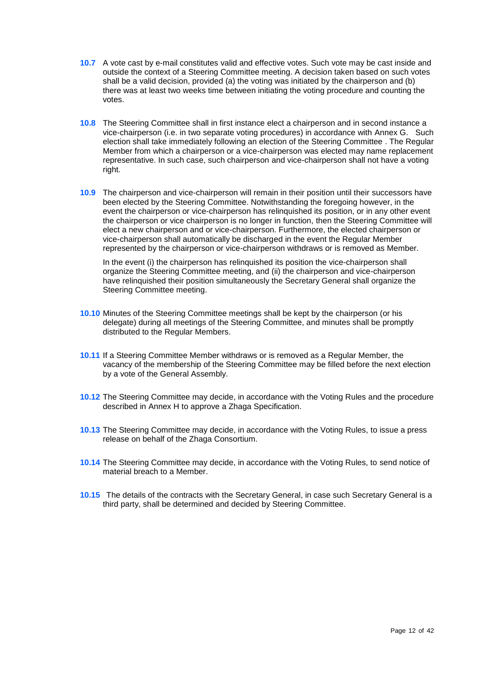- <span id="page-12-0"></span>**10.7** A vote cast by e-mail constitutes valid and effective votes. Such vote may be cast inside and outside the context of a Steering Committee meeting. A decision taken based on such votes shall be a valid decision, provided (a) the voting was initiated by the chairperson and (b) there was at least two weeks time between initiating the voting procedure and counting the votes.
- **10.8** The Steering Committee shall in first instance elect a chairperson and in second instance a vice-chairperson (i.e. in two separate voting procedures) in accordance with Annex G. Such election shall take immediately following an election of the Steering Committee . The Regular Member from which a chairperson or a vice-chairperson was elected may name replacement representative. In such case, such chairperson and vice-chairperson shall not have a voting right.
- **10.9** The chairperson and vice-chairperson will remain in their position until their successors have been elected by the Steering Committee. Notwithstanding the foregoing however, in the event the chairperson or vice-chairperson has relinquished its position, or in any other event the chairperson or vice chairperson is no longer in function, then the Steering Committee will elect a new chairperson and or vice-chairperson. Furthermore, the elected chairperson or vice-chairperson shall automatically be discharged in the event the Regular Member represented by the chairperson or vice-chairperson withdraws or is removed as Member.

In the event (i) the chairperson has relinguished its position the vice-chairperson shall organize the Steering Committee meeting, and (ii) the chairperson and vice-chairperson have relinquished their position simultaneously the Secretary General shall organize the Steering Committee meeting.

- **10.10** Minutes of the Steering Committee meetings shall be kept by the chairperson (or his delegate) during all meetings of the Steering Committee, and minutes shall be promptly distributed to the Regular Members.
- **10.11** If a Steering Committee Member withdraws or is removed as a Regular Member, the vacancy of the membership of the Steering Committee may be filled before the next election by a vote of the General Assembly.
- <span id="page-12-2"></span><span id="page-12-1"></span>**10.12** The Steering Committee may decide, in accordance with the Voting Rules and the procedure described in Annex H to approve a Zhaga Specification.
- **10.13** The Steering Committee may decide, in accordance with the Voting Rules, to issue a press release on behalf of the Zhaga Consortium.
- **10.14** The Steering Committee may decide, in accordance with the Voting Rules, to send notice of material breach to a Member.
- **10.15** The details of the contracts with the Secretary General, in case such Secretary General is a third party, shall be determined and decided by Steering Committee.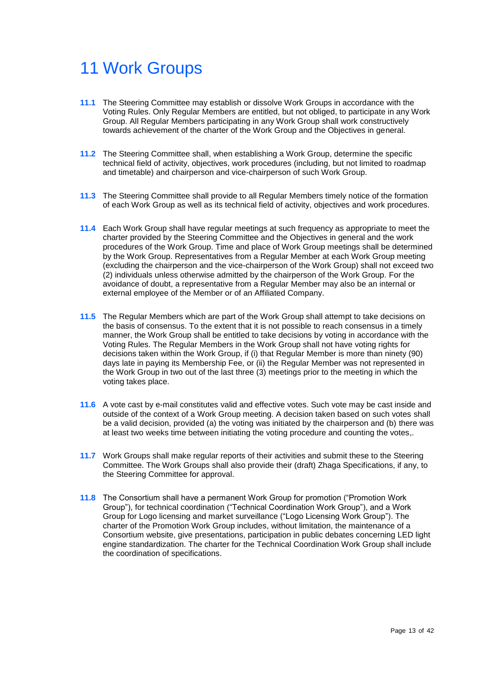## <span id="page-13-0"></span>11 Work Groups

- <span id="page-13-1"></span>**11.1** The Steering Committee may establish or dissolve Work Groups in accordance with the Voting Rules. Only Regular Members are entitled, but not obliged, to participate in any Work Group. All Regular Members participating in any Work Group shall work constructively towards achievement of the charter of the Work Group and the Objectives in general.
- **11.2** The Steering Committee shall, when establishing a Work Group, determine the specific technical field of activity, objectives, work procedures (including, but not limited to roadmap and timetable) and chairperson and vice-chairperson of such Work Group.
- **11.3** The Steering Committee shall provide to all Regular Members timely notice of the formation of each Work Group as well as its technical field of activity, objectives and work procedures.
- **11.4** Each Work Group shall have regular meetings at such frequency as appropriate to meet the charter provided by the Steering Committee and the Objectives in general and the work procedures of the Work Group. Time and place of Work Group meetings shall be determined by the Work Group. Representatives from a Regular Member at each Work Group meeting (excluding the chairperson and the vice-chairperson of the Work Group) shall not exceed two (2) individuals unless otherwise admitted by the chairperson of the Work Group. For the avoidance of doubt, a representative from a Regular Member may also be an internal or external employee of the Member or of an Affiliated Company.
- **11.5** The Regular Members which are part of the Work Group shall attempt to take decisions on the basis of consensus. To the extent that it is not possible to reach consensus in a timely manner, the Work Group shall be entitled to take decisions by voting in accordance with the Voting Rules. The Regular Members in the Work Group shall not have voting rights for decisions taken within the Work Group, if (i) that Regular Member is more than ninety (90) days late in paying its Membership Fee, or (ii) the Regular Member was not represented in the Work Group in two out of the last three (3) meetings prior to the meeting in which the voting takes place.
- **11.6** A vote cast by e-mail constitutes valid and effective votes. Such vote may be cast inside and outside of the context of a Work Group meeting. A decision taken based on such votes shall be a valid decision, provided (a) the voting was initiated by the chairperson and (b) there was at least two weeks time between initiating the voting procedure and counting the votes,.
- **11.7** Work Groups shall make regular reports of their activities and submit these to the Steering Committee. The Work Groups shall also provide their (draft) Zhaga Specifications, if any, to the Steering Committee for approval.
- **11.8** The Consortium shall have a permanent Work Group for promotion ("Promotion Work Group"), for technical coordination ("Technical Coordination Work Group"), and a Work Group for Logo licensing and market surveillance ("Logo Licensing Work Group"). The charter of the Promotion Work Group includes, without limitation, the maintenance of a Consortium website, give presentations, participation in public debates concerning LED light engine standardization. The charter for the Technical Coordination Work Group shall include the coordination of specifications.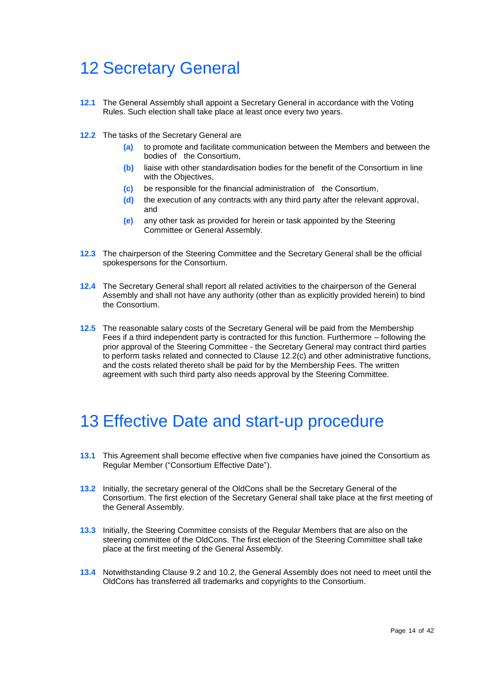## <span id="page-14-0"></span>12 Secretary General

- <span id="page-14-3"></span>**12.1** The General Assembly shall appoint a Secretary General in accordance with the Voting Rules. Such election shall take place at least once every two years.
- **12.2** The tasks of the Secretary General are
	- **(a)** to promote and facilitate communication between the Members and between the bodies of the Consortium,
	- **(b)** liaise with other standardisation bodies for the benefit of the Consortium in line with the Objectives.
	- **(c)** be responsible for the financial administration of the Consortium,
	- **(d)** the execution of any contracts with any third party after the relevant approval, and
	- **(e)** any other task as provided for herein or task appointed by the Steering Committee or General Assembly.
- **12.3** The chairperson of the Steering Committee and the Secretary General shall be the official spokespersons for the Consortium.
- **12.4** The Secretary General shall report all related activities to the chairperson of the General Assembly and shall not have any authority (other than as explicitly provided herein) to bind the Consortium.
- **12.5** The reasonable salary costs of the Secretary General will be paid from the Membership Fees if a third independent party is contracted for this function. Furthermore – following the prior approval of the Steering Committee - the Secretary General may contract third parties to perform tasks related and connected to Clause 12.2(c) and other administrative functions, and the costs related thereto shall be paid for by the Membership Fees. The written agreement with such third party also needs approval by the Steering Committee.

### <span id="page-14-1"></span>13 Effective Date and start-up procedure

- <span id="page-14-2"></span>**13.1** This Agreement shall become effective when five companies have joined the Consortium as Regular Member ("Consortium Effective Date").
- **13.2** Initially, the secretary general of the OldCons shall be the Secretary General of the Consortium. The first election of the Secretary General shall take place at the first meeting of the General Assembly.
- **13.3** Initially, the Steering Committee consists of the Regular Members that are also on the steering committee of the OldCons. The first election of the Steering Committee shall take place at the first meeting of the General Assembly.
- **13.4** Notwithstanding Clause [9.2](#page-9-1) and [10.2,](#page-11-2) the General Assembly does not need to meet until the OldCons has transferred all trademarks and copyrights to the Consortium.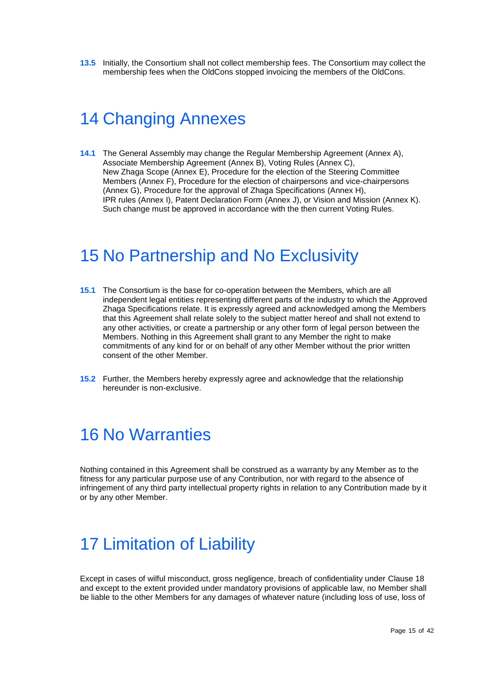<span id="page-15-0"></span>**13.5** Initially, the Consortium shall not collect membership fees. The Consortium may collect the membership fees when the OldCons stopped invoicing the members of the OldCons.

### 14 Changing Annexes

<span id="page-15-4"></span>**14.1** The General Assembly may change the Regular Membership Agreement [\(Annex](#page-20-0) A), Associate Membership Agreement [\(Annex](#page-22-0) B), Voting Rules [\(Annex](#page-24-0) C), New Zhaga Scope [\(Annex](#page-28-1) E), Procedure for the election of the Steering Committee Members (Annex F), Procedure for the election of chairpersons and vice-chairpersons (Annex G), Procedure for the approval of Zhaga Specifications (Annex H), IPR rules [\(Annex](#page-32-1) I), [Patent Declaration Form](#page-38-0) [\(Annex](#page-38-0) J), or Vision and Mission (Annex K). Such change must be approved in accordance with the then current Voting Rules.

### <span id="page-15-1"></span>15 No Partnership and No Exclusivity

- **15.1** The Consortium is the base for co-operation between the Members, which are all independent legal entities representing different parts of the industry to which the Approved Zhaga Specifications relate. It is expressly agreed and acknowledged among the Members that this Agreement shall relate solely to the subject matter hereof and shall not extend to any other activities, or create a partnership or any other form of legal person between the Members. Nothing in this Agreement shall grant to any Member the right to make commitments of any kind for or on behalf of any other Member without the prior written consent of the other Member.
- <span id="page-15-2"></span>**15.2** Further, the Members hereby expressly agree and acknowledge that the relationship hereunder is non-exclusive.

### 16 No Warranties

Nothing contained in this Agreement shall be construed as a warranty by any Member as to the fitness for any particular purpose use of any Contribution, nor with regard to the absence of infringement of any third party intellectual property rights in relation to any Contribution made by it or by any other Member.

## <span id="page-15-3"></span>17 Limitation of Liability

Except in cases of wilful misconduct, gross negligence, breach of confidentiality under Clause 18 and except to the extent provided under mandatory provisions of applicable law, no Member shall be liable to the other Members for any damages of whatever nature (including loss of use, loss of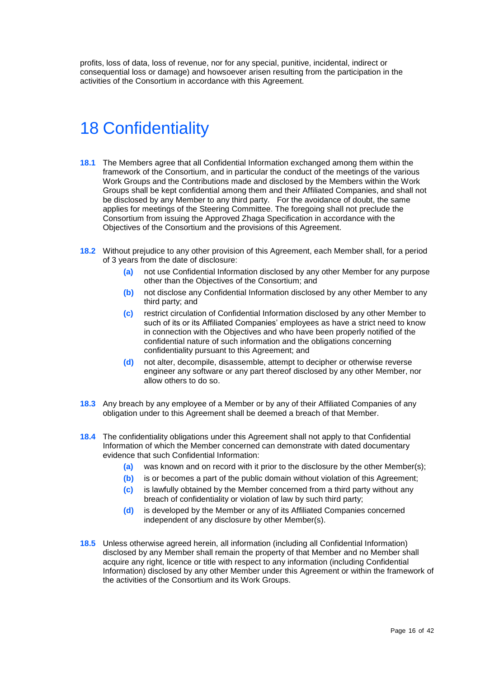<span id="page-16-0"></span>profits, loss of data, loss of revenue, nor for any special, punitive, incidental, indirect or consequential loss or damage) and howsoever arisen resulting from the participation in the activities of the Consortium in accordance with this Agreement.

## 18 Confidentiality

- **18.1** The Members agree that all Confidential Information exchanged among them within the framework of the Consortium, and in particular the conduct of the meetings of the various Work Groups and the Contributions made and disclosed by the Members within the Work Groups shall be kept confidential among them and their Affiliated Companies, and shall not be disclosed by any Member to any third party. For the avoidance of doubt, the same applies for meetings of the Steering Committee. The foregoing shall not preclude the Consortium from issuing the Approved Zhaga Specification in accordance with the Objectives of the Consortium and the provisions of this Agreement.
- **18.2** Without prejudice to any other provision of this Agreement, each Member shall, for a period of 3 years from the date of disclosure:
	- **(a)** not use Confidential Information disclosed by any other Member for any purpose other than the Objectives of the Consortium; and
	- **(b)** not disclose any Confidential Information disclosed by any other Member to any third party; and
	- **(c)** restrict circulation of Confidential Information disclosed by any other Member to such of its or its Affiliated Companies' employees as have a strict need to know in connection with the Objectives and who have been properly notified of the confidential nature of such information and the obligations concerning confidentiality pursuant to this Agreement; and
	- **(d)** not alter, decompile, disassemble, attempt to decipher or otherwise reverse engineer any software or any part thereof disclosed by any other Member, nor allow others to do so.
- **18.3** Any breach by any employee of a Member or by any of their Affiliated Companies of any obligation under to this Agreement shall be deemed a breach of that Member.
- **18.4** The confidentiality obligations under this Agreement shall not apply to that Confidential Information of which the Member concerned can demonstrate with dated documentary evidence that such Confidential Information:
	- **(a)** was known and on record with it prior to the disclosure by the other Member(s);
	- **(b)** is or becomes a part of the public domain without violation of this Agreement;
	- **(c)** is lawfully obtained by the Member concerned from a third party without any breach of confidentiality or violation of law by such third party;
	- **(d)** is developed by the Member or any of its Affiliated Companies concerned independent of any disclosure by other Member(s).
- **18.5** Unless otherwise agreed herein, all information (including all Confidential Information) disclosed by any Member shall remain the property of that Member and no Member shall acquire any right, licence or title with respect to any information (including Confidential Information) disclosed by any other Member under this Agreement or within the framework of the activities of the Consortium and its Work Groups.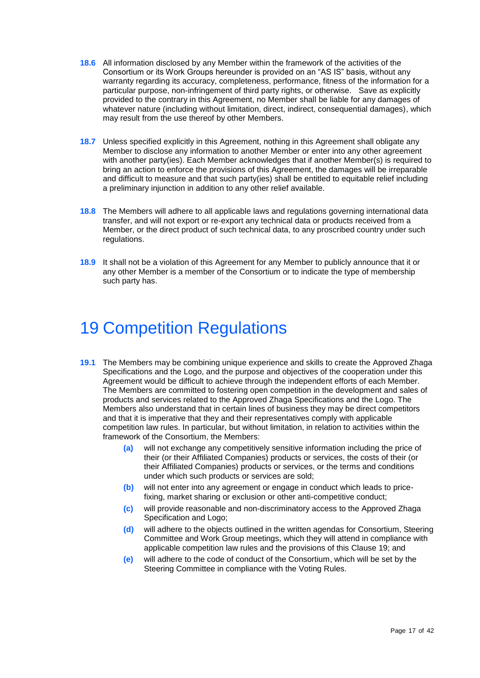- **18.6** All information disclosed by any Member within the framework of the activities of the Consortium or its Work Groups hereunder is provided on an "AS IS" basis, without any warranty regarding its accuracy, completeness, performance, fitness of the information for a particular purpose, non-infringement of third party rights, or otherwise. Save as explicitly provided to the contrary in this Agreement, no Member shall be liable for any damages of whatever nature (including without limitation, direct, indirect, consequential damages), which may result from the use thereof by other Members.
- **18.7** Unless specified explicitly in this Agreement, nothing in this Agreement shall obligate any Member to disclose any information to another Member or enter into any other agreement with another party(ies). Each Member acknowledges that if another Member(s) is required to bring an action to enforce the provisions of this Agreement, the damages will be irreparable and difficult to measure and that such party(ies) shall be entitled to equitable relief including a preliminary injunction in addition to any other relief available.
- **18.8** The Members will adhere to all applicable laws and regulations governing international data transfer, and will not export or re-export any technical data or products received from a Member, or the direct product of such technical data, to any proscribed country under such regulations.
- <span id="page-17-0"></span>**18.9** It shall not be a violation of this Agreement for any Member to publicly announce that it or any other Member is a member of the Consortium or to indicate the type of membership such party has.

## 19 Competition Regulations

- <span id="page-17-1"></span>**19.1** The Members may be combining unique experience and skills to create the Approved Zhaga Specifications and the Logo, and the purpose and objectives of the cooperation under this Agreement would be difficult to achieve through the independent efforts of each Member. The Members are committed to fostering open competition in the development and sales of products and services related to the Approved Zhaga Specifications and the Logo. The Members also understand that in certain lines of business they may be direct competitors and that it is imperative that they and their representatives comply with applicable competition law rules. In particular, but without limitation, in relation to activities within the framework of the Consortium, the Members:
	- **(a)** will not exchange any competitively sensitive information including the price of their (or their Affiliated Companies) products or services, the costs of their (or their Affiliated Companies) products or services, or the terms and conditions under which such products or services are sold;
	- **(b)** will not enter into any agreement or engage in conduct which leads to pricefixing, market sharing or exclusion or other anti-competitive conduct;
	- **(c)** will provide reasonable and non-discriminatory access to the Approved Zhaga Specification and Logo;
	- **(d)** will adhere to the objects outlined in the written agendas for Consortium, Steering Committee and Work Group meetings, which they will attend in compliance with applicable competition law rules and the provisions of this Clause 19; and
	- **(e)** will adhere to the code of conduct of the Consortium, which will be set by the Steering Committee in compliance with the Voting Rules.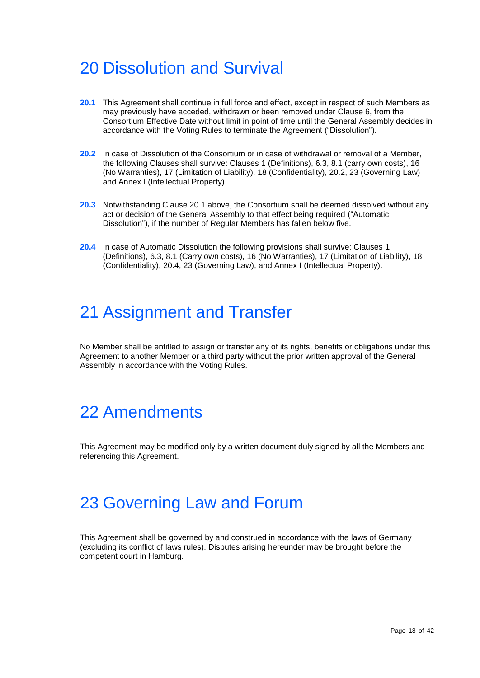## <span id="page-18-0"></span>20 Dissolution and Survival

- **20.1** This Agreement shall continue in full force and effect, except in respect of such Members as may previously have acceded, withdrawn or been removed under Clause 6, from the Consortium Effective Date without limit in point of time until the General Assembly decides in accordance with the Voting Rules to terminate the Agreement ("Dissolution").
- **20.2** In case of Dissolution of the Consortium or in case of withdrawal or removal of a Member, the following Clauses shall survive: Clauses [1](#page-1-0) (Definitions), 6.3, 8.1 (carry own costs), 16 (No Warranties), 17 (Limitation of Liability), 18 (Confidentiality), 20.2, [23](#page-18-3) (Governing Law) and [Annex](#page-32-1) I (Intellectual Property).
- **20.3** Notwithstanding Clause 20.1 above, the Consortium shall be deemed dissolved without any act or decision of the General Assembly to that effect being required ("Automatic Dissolution"), if the number of Regular Members has fallen below five.
- <span id="page-18-1"></span>**20.4** In case of Automatic Dissolution the following provisions shall survive: Clauses [1](#page-1-0) (Definitions), 6.3, 8.1 (Carry own costs), 16 (No Warranties), 17 (Limitation of Liability), 18 (Confidentiality), 20.4, [23](#page-18-3) (Governing Law), and [Annex](#page-32-1) I (Intellectual Property).

## 21 Assignment and Transfer

<span id="page-18-2"></span>No Member shall be entitled to assign or transfer any of its rights, benefits or obligations under this Agreement to another Member or a third party without the prior written approval of the General Assembly in accordance with the Voting Rules.

## 22 Amendments

<span id="page-18-3"></span>This Agreement may be modified only by a written document duly signed by all the Members and referencing this Agreement.

## 23 Governing Law and Forum

This Agreement shall be governed by and construed in accordance with the laws of Germany (excluding its conflict of laws rules). Disputes arising hereunder may be brought before the competent court in Hamburg.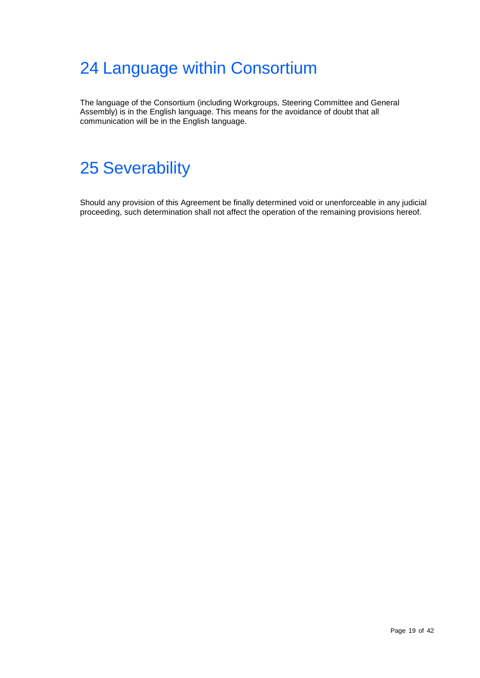## <span id="page-19-0"></span>24 Language within Consortium

<span id="page-19-1"></span>The language of the Consortium (including Workgroups, Steering Committee and General Assembly) is in the English language. This means for the avoidance of doubt that all communication will be in the English language.

## 25 Severability

Should any provision of this Agreement be finally determined void or unenforceable in any judicial proceeding, such determination shall not affect the operation of the remaining provisions hereof.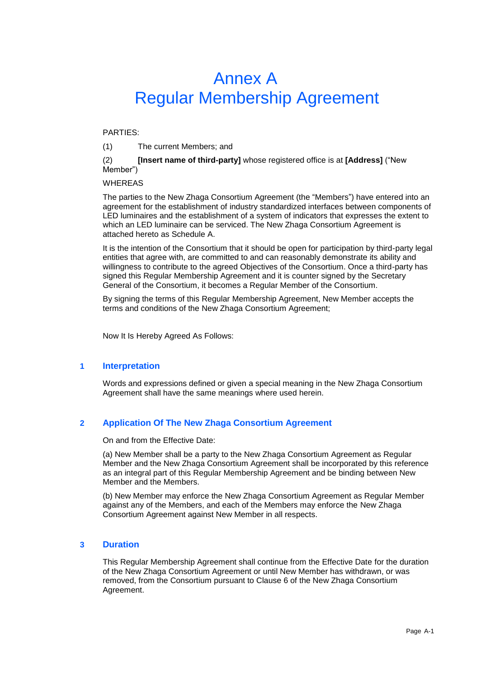## Annex A Regular Membership Agreement

#### <span id="page-20-0"></span>PARTIES:

(1) The current Members; and

#### (2) **[Insert name of third-party]** whose registered office is at **[Address]** ("New Member")

#### **WHEREAS**

The parties to the New Zhaga Consortium Agreement (the "Members") have entered into an agreement for the establishment of industry standardized interfaces between components of LED luminaires and the establishment of a system of indicators that expresses the extent to which an LED luminaire can be serviced. The New Zhaga Consortium Agreement is attached hereto as Schedule A.

It is the intention of the Consortium that it should be open for participation by third-party legal entities that agree with, are committed to and can reasonably demonstrate its ability and willingness to contribute to the agreed Objectives of the Consortium. Once a third-party has signed this Regular Membership Agreement and it is counter signed by the Secretary General of the Consortium, it becomes a Regular Member of the Consortium.

By signing the terms of this Regular Membership Agreement, New Member accepts the terms and conditions of the New Zhaga Consortium Agreement;

Now It Is Hereby Agreed As Follows:

#### **1 Interpretation**

Words and expressions defined or given a special meaning in the New Zhaga Consortium Agreement shall have the same meanings where used herein.

#### **2 Application Of The New Zhaga Consortium Agreement**

On and from the Effective Date:

(a) New Member shall be a party to the New Zhaga Consortium Agreement as Regular Member and the New Zhaga Consortium Agreement shall be incorporated by this reference as an integral part of this Regular Membership Agreement and be binding between New Member and the Members.

(b) New Member may enforce the New Zhaga Consortium Agreement as Regular Member against any of the Members, and each of the Members may enforce the New Zhaga Consortium Agreement against New Member in all respects.

#### **3 Duration**

This Regular Membership Agreement shall continue from the Effective Date for the duration of the New Zhaga Consortium Agreement or until New Member has withdrawn, or was removed, from the Consortium pursuant to Clause 6 of the New Zhaga Consortium Agreement.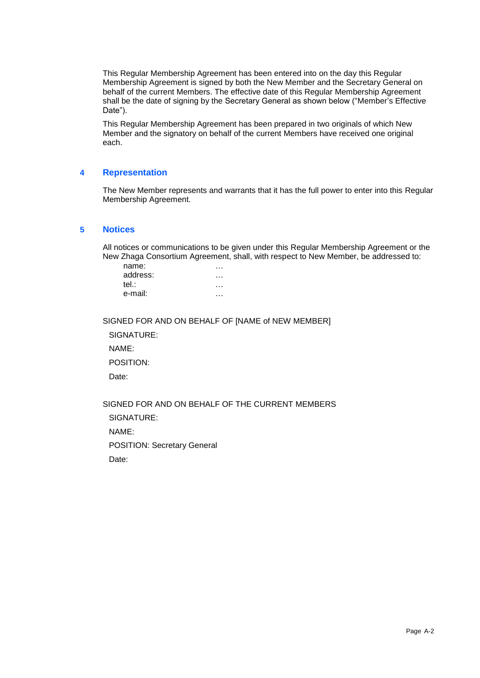This Regular Membership Agreement has been entered into on the day this Regular Membership Agreement is signed by both the New Member and the Secretary General on behalf of the current Members. The effective date of this Regular Membership Agreement shall be the date of signing by the Secretary General as shown below ("Member's Effective Date").

This Regular Membership Agreement has been prepared in two originals of which New Member and the signatory on behalf of the current Members have received one original each.

#### **4 Representation**

The New Member represents and warrants that it has the full power to enter into this Regular Membership Agreement.

#### **5 Notices**

All notices or communications to be given under this Regular Membership Agreement or the New Zhaga Consortium Agreement, shall, with respect to New Member, be addressed to:

| name:    |  |
|----------|--|
| address: |  |
| tel∴     |  |
| e-mail:  |  |
|          |  |

SIGNED FOR AND ON BEHALF OF [NAME of NEW MEMBER]

SIGNATURE:

NAME:

POSITION:

Date:

SIGNED FOR AND ON BEHALF OF THE CURRENT MEMBERS

SIGNATURE:

NAME:

POSITION: Secretary General

Date: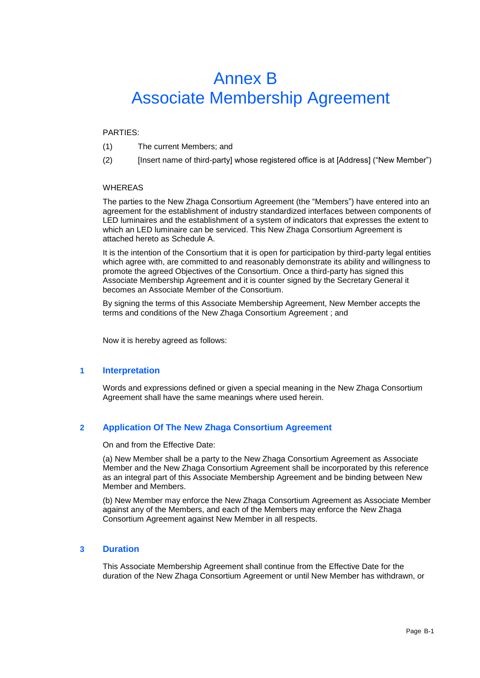## <span id="page-22-0"></span>Annex B Associate Membership Agreement

#### PARTIES:

- (1) The current Members; and
- (2) [Insert name of third-party] whose registered office is at [Address] ("New Member")

#### WHEREAS

The parties to the New Zhaga Consortium Agreement (the "Members") have entered into an agreement for the establishment of industry standardized interfaces between components of LED luminaires and the establishment of a system of indicators that expresses the extent to which an LED luminaire can be serviced. This New Zhaga Consortium Agreement is attached hereto as Schedule A.

It is the intention of the Consortium that it is open for participation by third-party legal entities which agree with, are committed to and reasonably demonstrate its ability and willingness to promote the agreed Objectives of the Consortium. Once a third-party has signed this Associate Membership Agreement and it is counter signed by the Secretary General it becomes an Associate Member of the Consortium.

By signing the terms of this Associate Membership Agreement, New Member accepts the terms and conditions of the New Zhaga Consortium Agreement ; and

Now it is hereby agreed as follows:

#### **1 Interpretation**

Words and expressions defined or given a special meaning in the New Zhaga Consortium Agreement shall have the same meanings where used herein.

#### **2 Application Of The New Zhaga Consortium Agreement**

On and from the Effective Date:

(a) New Member shall be a party to the New Zhaga Consortium Agreement as Associate Member and the New Zhaga Consortium Agreement shall be incorporated by this reference as an integral part of this Associate Membership Agreement and be binding between New Member and Members.

(b) New Member may enforce the New Zhaga Consortium Agreement as Associate Member against any of the Members, and each of the Members may enforce the New Zhaga Consortium Agreement against New Member in all respects.

#### **3 Duration**

This Associate Membership Agreement shall continue from the Effective Date for the duration of the New Zhaga Consortium Agreement or until New Member has withdrawn, or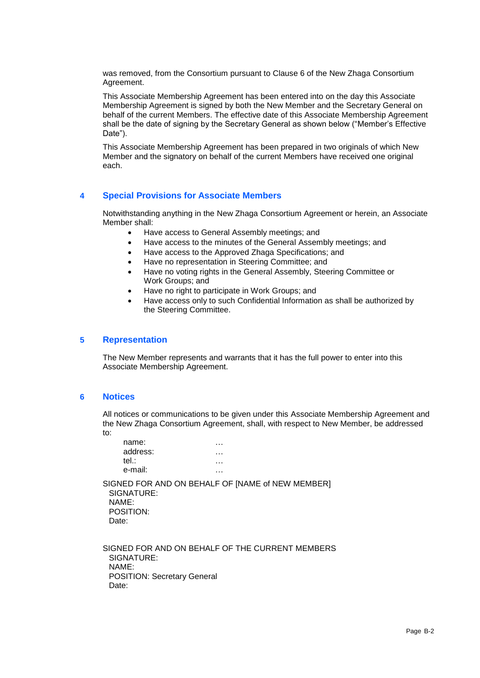was removed, from the Consortium pursuant to Clause 6 of the New Zhaga Consortium Agreement.

This Associate Membership Agreement has been entered into on the day this Associate Membership Agreement is signed by both the New Member and the Secretary General on behalf of the current Members. The effective date of this Associate Membership Agreement shall be the date of signing by the Secretary General as shown below ("Member's Effective Date").

This Associate Membership Agreement has been prepared in two originals of which New Member and the signatory on behalf of the current Members have received one original each.

#### **4 Special Provisions for Associate Members**

Notwithstanding anything in the New Zhaga Consortium Agreement or herein, an Associate Member shall:

- Have access to General Assembly meetings; and
- Have access to the minutes of the General Assembly meetings; and
- Have access to the Approved Zhaga Specifications; and
- Have no representation in Steering Committee; and
- Have no voting rights in the General Assembly, Steering Committee or Work Groups; and
- Have no right to participate in Work Groups; and
- Have access only to such Confidential Information as shall be authorized by the Steering Committee.

#### **5 Representation**

The New Member represents and warrants that it has the full power to enter into this Associate Membership Agreement.

#### **6 Notices**

All notices or communications to be given under this Associate Membership Agreement and the New Zhaga Consortium Agreement, shall, with respect to New Member, be addressed to:

| name:<br>address:<br>tel.:<br>e-mail:     |                                                  |  |
|-------------------------------------------|--------------------------------------------------|--|
| SIGNATURE:<br>NAME:<br>POSITION:<br>Date: | SIGNED FOR AND ON BEHALF OF [NAME of NEW MEMBER] |  |
|                                           |                                                  |  |

SIGNED FOR AND ON BEHALF OF THE CURRENT MEMBERS SIGNATURE: NAME: POSITION: Secretary General Date: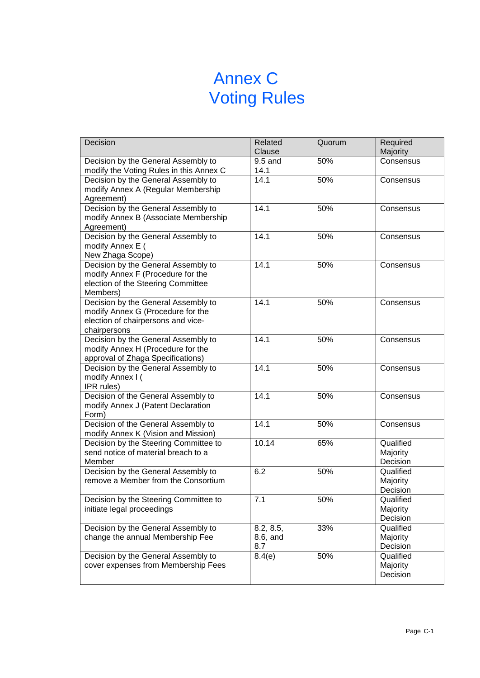## Annex C Voting Rules

<span id="page-24-0"></span>

| Decision                                                                       | Related<br>Clause | Quorum | Required<br>Majority  |
|--------------------------------------------------------------------------------|-------------------|--------|-----------------------|
| Decision by the General Assembly to                                            | 9.5 and           | 50%    | Consensus             |
| modify the Voting Rules in this Annex C<br>Decision by the General Assembly to | 14.1<br>14.1      | 50%    |                       |
| modify Annex A (Regular Membership                                             |                   |        | Consensus             |
| Agreement)                                                                     |                   |        |                       |
| Decision by the General Assembly to                                            | 14.1              | 50%    | Consensus             |
| modify Annex B (Associate Membership                                           |                   |        |                       |
| Agreement)                                                                     |                   |        |                       |
| Decision by the General Assembly to                                            | 14.1              | 50%    | Consensus             |
| modify Annex E (                                                               |                   |        |                       |
| New Zhaga Scope)                                                               |                   |        |                       |
| Decision by the General Assembly to                                            | 14.1              | 50%    | Consensus             |
| modify Annex F (Procedure for the                                              |                   |        |                       |
| election of the Steering Committee                                             |                   |        |                       |
| Members)                                                                       |                   |        |                       |
| Decision by the General Assembly to                                            | 14.1              | 50%    | Consensus             |
| modify Annex G (Procedure for the                                              |                   |        |                       |
| election of chairpersons and vice-                                             |                   |        |                       |
| chairpersons<br>Decision by the General Assembly to                            | 14.1              | 50%    | Consensus             |
| modify Annex H (Procedure for the                                              |                   |        |                       |
| approval of Zhaga Specifications)                                              |                   |        |                       |
| Decision by the General Assembly to                                            | 14.1              | 50%    | Consensus             |
| modify Annex I (                                                               |                   |        |                       |
| IPR rules)                                                                     |                   |        |                       |
| Decision of the General Assembly to                                            | 14.1              | 50%    | Consensus             |
| modify Annex J (Patent Declaration                                             |                   |        |                       |
| Form)                                                                          |                   |        |                       |
| Decision of the General Assembly to                                            | 14.1              | 50%    | Consensus             |
| modify Annex K (Vision and Mission)                                            |                   |        |                       |
| Decision by the Steering Committee to                                          | 10.14             | 65%    | Qualified             |
| send notice of material breach to a                                            |                   |        | Majority              |
| Member                                                                         | 6.2               |        | Decision<br>Qualified |
| Decision by the General Assembly to<br>remove a Member from the Consortium     |                   | 50%    | Majority              |
|                                                                                |                   |        | Decision              |
| Decision by the Steering Committee to                                          | $\overline{7.1}$  | 50%    | Qualified             |
| initiate legal proceedings                                                     |                   |        | Majority              |
|                                                                                |                   |        | Decision              |
| Decision by the General Assembly to                                            | 8.2, 8.5,         | 33%    | Qualified             |
| change the annual Membership Fee                                               | 8.6, and          |        | Majority              |
|                                                                                | 8.7               |        | Decision              |
| Decision by the General Assembly to                                            | 8.4(e)            | 50%    | Qualified             |
| cover expenses from Membership Fees                                            |                   |        | Majority              |
|                                                                                |                   |        | Decision              |
|                                                                                |                   |        |                       |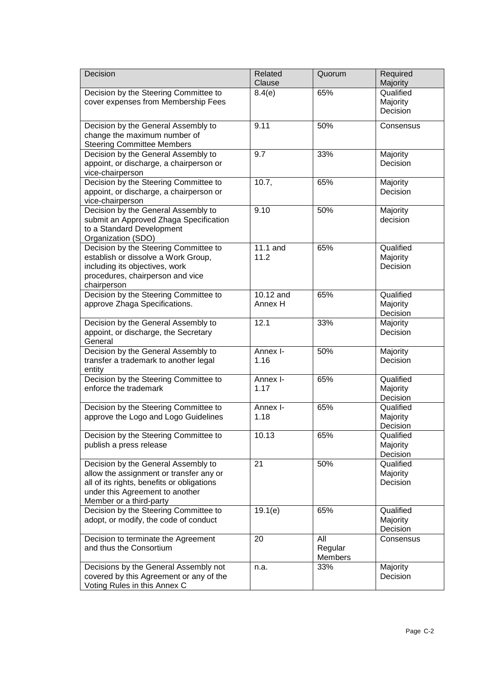| Decision                                                                                                                                                                                   | Related<br>Clause    | Quorum                    | Required<br>Majority              |
|--------------------------------------------------------------------------------------------------------------------------------------------------------------------------------------------|----------------------|---------------------------|-----------------------------------|
| Decision by the Steering Committee to<br>cover expenses from Membership Fees                                                                                                               | 8.4(e)               | 65%                       | Qualified<br>Majority<br>Decision |
| Decision by the General Assembly to<br>change the maximum number of<br><b>Steering Committee Members</b>                                                                                   | 9.11                 | 50%                       | Consensus                         |
| Decision by the General Assembly to<br>appoint, or discharge, a chairperson or<br>vice-chairperson                                                                                         | 9.7                  | 33%                       | Majority<br>Decision              |
| Decision by the Steering Committee to<br>appoint, or discharge, a chairperson or<br>vice-chairperson                                                                                       | 10.7,                | 65%                       | Majority<br>Decision              |
| Decision by the General Assembly to<br>submit an Approved Zhaga Specification<br>to a Standard Development<br>Organization (SDO)                                                           | 9.10                 | 50%                       | Majority<br>decision              |
| Decision by the Steering Committee to<br>establish or dissolve a Work Group,<br>including its objectives, work<br>procedures, chairperson and vice<br>chairperson                          | 11.1 and<br>11.2     | 65%                       | Qualified<br>Majority<br>Decision |
| Decision by the Steering Committee to<br>approve Zhaga Specifications.                                                                                                                     | 10.12 and<br>Annex H | 65%                       | Qualified<br>Majority<br>Decision |
| Decision by the General Assembly to<br>appoint, or discharge, the Secretary<br>General                                                                                                     | 12.1                 | 33%                       | Majority<br>Decision              |
| Decision by the General Assembly to<br>transfer a trademark to another legal<br>entity                                                                                                     | Annex I-<br>1.16     | 50%                       | Majority<br>Decision              |
| Decision by the Steering Committee to<br>enforce the trademark                                                                                                                             | Annex I-<br>1.17     | 65%                       | Qualified<br>Majority<br>Decision |
| Decision by the Steering Committee to<br>approve the Logo and Logo Guidelines                                                                                                              | Annex I-<br>1.18     | 65%                       | Qualified<br>Majority<br>Decision |
| Decision by the Steering Committee to<br>publish a press release                                                                                                                           | 10.13                | 65%                       | Qualified<br>Majority<br>Decision |
| Decision by the General Assembly to<br>allow the assignment or transfer any or<br>all of its rights, benefits or obligations<br>under this Agreement to another<br>Member or a third-party | 21                   | 50%                       | Qualified<br>Majority<br>Decision |
| Decision by the Steering Committee to<br>adopt, or modify, the code of conduct                                                                                                             | 19.1(e)              | 65%                       | Qualified<br>Majority<br>Decision |
| Decision to terminate the Agreement<br>and thus the Consortium                                                                                                                             | 20                   | All<br>Regular<br>Members | Consensus                         |
| Decisions by the General Assembly not<br>covered by this Agreement or any of the<br>Voting Rules in this Annex C                                                                           | n.a.                 | 33%                       | Majority<br>Decision              |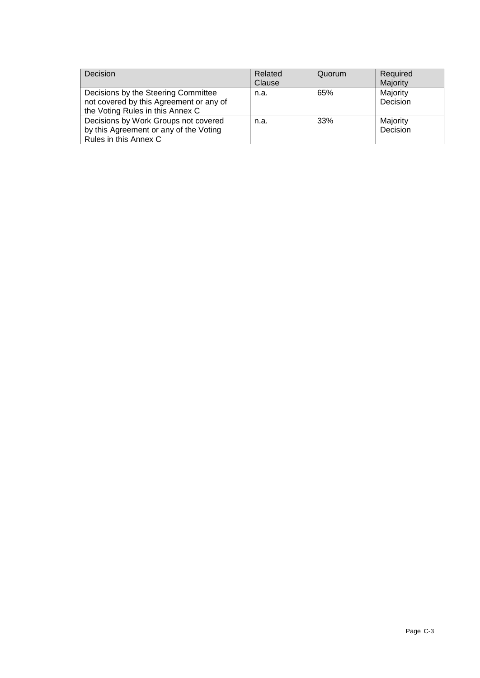| Decision                                                                                                           | Related<br>Clause | Quorum | Required<br>Majority |
|--------------------------------------------------------------------------------------------------------------------|-------------------|--------|----------------------|
| Decisions by the Steering Committee<br>not covered by this Agreement or any of<br>the Voting Rules in this Annex C | n.a.              | 65%    | Majority<br>Decision |
| Decisions by Work Groups not covered<br>by this Agreement or any of the Voting<br>Rules in this Annex C            | n.a.              | 33%    | Majority<br>Decision |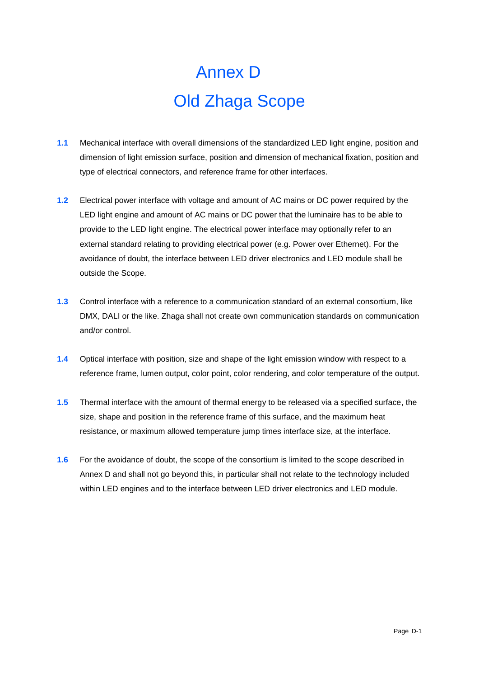# Annex D Old Zhaga Scope

- <span id="page-27-0"></span>**1.1** Mechanical interface with overall dimensions of the standardized LED light engine, position and dimension of light emission surface, position and dimension of mechanical fixation, position and type of electrical connectors, and reference frame for other interfaces.
- **1.2** Electrical power interface with voltage and amount of AC mains or DC power required by the LED light engine and amount of AC mains or DC power that the luminaire has to be able to provide to the LED light engine. The electrical power interface may optionally refer to an external standard relating to providing electrical power (e.g. Power over Ethernet). For the avoidance of doubt, the interface between LED driver electronics and LED module shall be outside the Scope.
- **1.3** Control interface with a reference to a communication standard of an external consortium, like DMX, DALI or the like. Zhaga shall not create own communication standards on communication and/or control.
- **1.4** Optical interface with position, size and shape of the light emission window with respect to a reference frame, lumen output, color point, color rendering, and color temperature of the output.
- **1.5** Thermal interface with the amount of thermal energy to be released via a specified surface, the size, shape and position in the reference frame of this surface, and the maximum heat resistance, or maximum allowed temperature jump times interface size, at the interface.
- **1.6** For the avoidance of doubt, the scope of the consortium is limited to the scope described in Annex D and shall not go beyond this, in particular shall not relate to the technology included within LED engines and to the interface between LED driver electronics and LED module.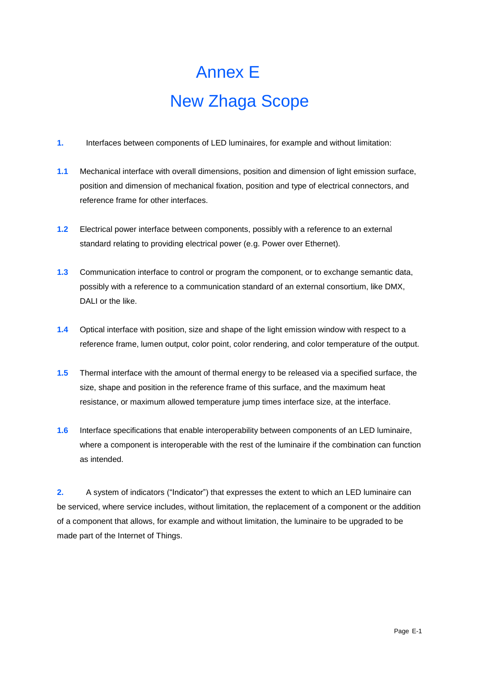# Annex E New Zhaga Scope

- <span id="page-28-1"></span><span id="page-28-0"></span>**1.** Interfaces between components of LED luminaires, for example and without limitation:
- **1.1** Mechanical interface with overall dimensions, position and dimension of light emission surface, position and dimension of mechanical fixation, position and type of electrical connectors, and reference frame for other interfaces.
- **1.2** Electrical power interface between components, possibly with a reference to an external standard relating to providing electrical power (e.g. Power over Ethernet).
- **1.3** Communication interface to control or program the component, or to exchange semantic data, possibly with a reference to a communication standard of an external consortium, like DMX, DALI or the like.
- **1.4** Optical interface with position, size and shape of the light emission window with respect to a reference frame, lumen output, color point, color rendering, and color temperature of the output.
- **1.5** Thermal interface with the amount of thermal energy to be released via a specified surface, the size, shape and position in the reference frame of this surface, and the maximum heat resistance, or maximum allowed temperature jump times interface size, at the interface.
- **1.6** Interface specifications that enable interoperability between components of an LED luminaire, where a component is interoperable with the rest of the luminaire if the combination can function as intended.

**2.** A system of indicators ("Indicator") that expresses the extent to which an LED luminaire can be serviced, where service includes, without limitation, the replacement of a component or the addition of a component that allows, for example and without limitation, the luminaire to be upgraded to be made part of the Internet of Things.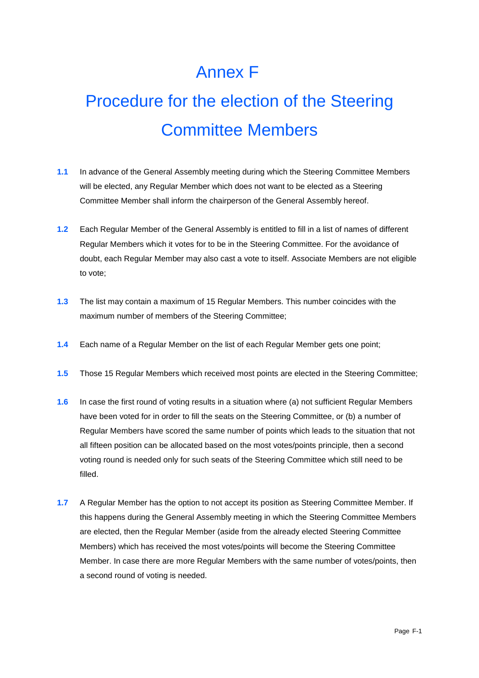## Annex F

# <span id="page-29-0"></span>Procedure for the election of the Steering Committee Members

- **1.1** In advance of the General Assembly meeting during which the Steering Committee Members will be elected, any Regular Member which does not want to be elected as a Steering Committee Member shall inform the chairperson of the General Assembly hereof.
- **1.2** Each Regular Member of the General Assembly is entitled to fill in a list of names of different Regular Members which it votes for to be in the Steering Committee. For the avoidance of doubt, each Regular Member may also cast a vote to itself. Associate Members are not eligible to vote;
- **1.3** The list may contain a maximum of 15 Regular Members. This number coincides with the maximum number of members of the Steering Committee;
- **1.4** Each name of a Regular Member on the list of each Regular Member gets one point;
- **1.5** Those 15 Regular Members which received most points are elected in the Steering Committee;
- **1.6** In case the first round of voting results in a situation where (a) not sufficient Regular Members have been voted for in order to fill the seats on the Steering Committee, or (b) a number of Regular Members have scored the same number of points which leads to the situation that not all fifteen position can be allocated based on the most votes/points principle, then a second voting round is needed only for such seats of the Steering Committee which still need to be filled.
- **1.7** A Regular Member has the option to not accept its position as Steering Committee Member. If this happens during the General Assembly meeting in which the Steering Committee Members are elected, then the Regular Member (aside from the already elected Steering Committee Members) which has received the most votes/points will become the Steering Committee Member. In case there are more Regular Members with the same number of votes/points, then a second round of voting is needed.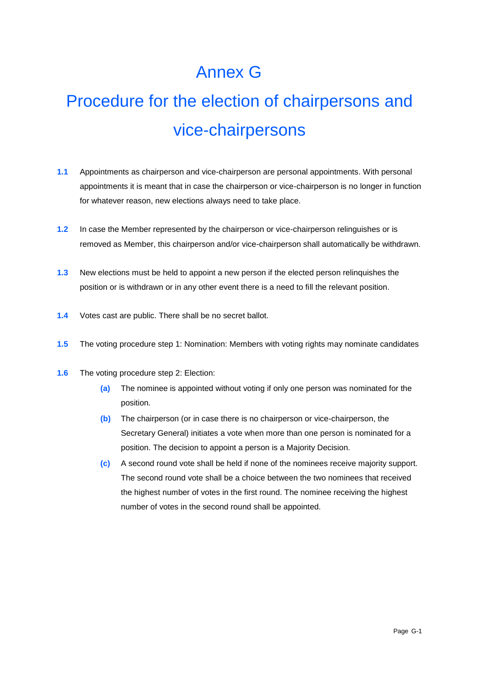## Annex G

# <span id="page-30-0"></span>Procedure for the election of chairpersons and vice-chairpersons

- **1.1** Appointments as chairperson and vice-chairperson are personal appointments. With personal appointments it is meant that in case the chairperson or vice-chairperson is no longer in function for whatever reason, new elections always need to take place.
- **1.2** In case the Member represented by the chairperson or vice-chairperson relinguishes or is removed as Member, this chairperson and/or vice-chairperson shall automatically be withdrawn.
- **1.3** New elections must be held to appoint a new person if the elected person relinquishes the position or is withdrawn or in any other event there is a need to fill the relevant position.
- **1.4** Votes cast are public. There shall be no secret ballot.
- **1.5** The voting procedure step 1: Nomination: Members with voting rights may nominate candidates
- **1.6** The voting procedure step 2: Election:
	- **(a)** The nominee is appointed without voting if only one person was nominated for the position.
	- **(b)** The chairperson (or in case there is no chairperson or vice-chairperson, the Secretary General) initiates a vote when more than one person is nominated for a position. The decision to appoint a person is a Majority Decision.
	- **(c)** A second round vote shall be held if none of the nominees receive majority support. The second round vote shall be a choice between the two nominees that received the highest number of votes in the first round. The nominee receiving the highest number of votes in the second round shall be appointed.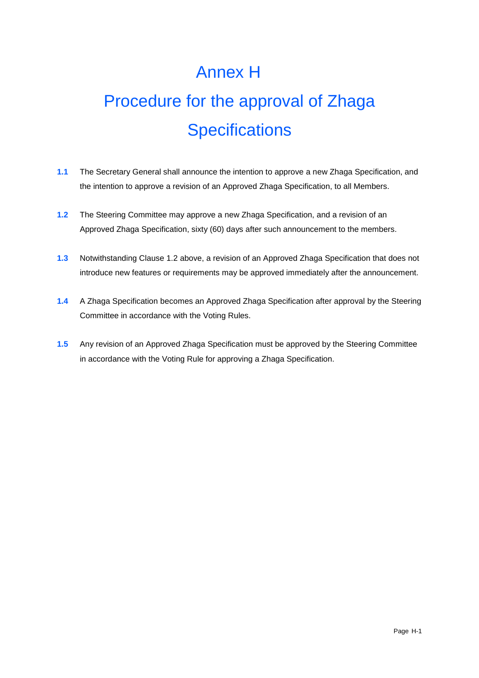## Annex H

# <span id="page-31-0"></span>Procedure for the approval of Zhaga **Specifications**

- **1.1** The Secretary General shall announce the intention to approve a new Zhaga Specification, and the intention to approve a revision of an Approved Zhaga Specification, to all Members.
- <span id="page-31-1"></span>**1.2** The Steering Committee may approve a new Zhaga Specification, and a revision of an Approved Zhaga Specification, sixty (60) days after such announcement to the members.
- **1.3** Notwithstanding Clause [1.2](#page-31-1) above, a revision of an Approved Zhaga Specification that does not introduce new features or requirements may be approved immediately after the announcement.
- **1.4** A Zhaga Specification becomes an Approved Zhaga Specification after approval by the Steering Committee in accordance with the Voting Rules.
- **1.5** Any revision of an Approved Zhaga Specification must be approved by the Steering Committee in accordance with the Voting Rule for approving a Zhaga Specification.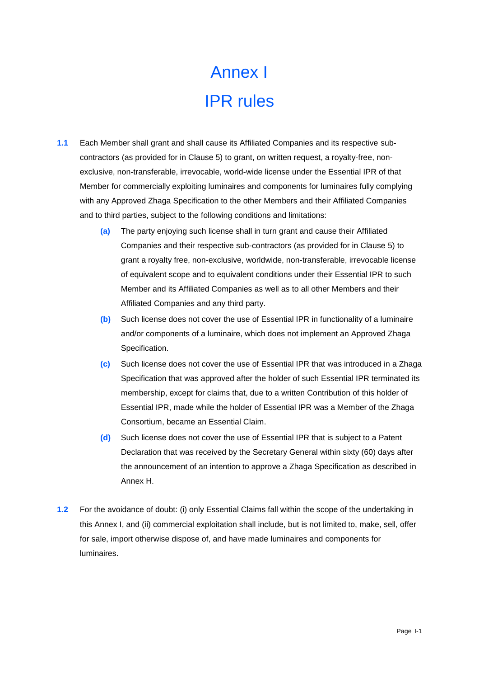# Annex I IPR rules

- <span id="page-32-4"></span><span id="page-32-3"></span><span id="page-32-2"></span><span id="page-32-1"></span><span id="page-32-0"></span>**1.1** Each Member shall grant and shall cause its Affiliated Companies and its respective subcontractors (as provided for in Clause [5\)](#page-6-2) to grant, on written request, a royalty-free, nonexclusive, non-transferable, irrevocable, world-wide license under the Essential IPR of that Member for commercially exploiting luminaires and components for luminaires fully complying with any Approved Zhaga Specification to the other Members and their Affiliated Companies and to third parties, subject to the following conditions and limitations:
	- **(a)** The party enjoying such license shall in turn grant and cause their Affiliated Companies and their respective sub-contractors (as provided for in Clause [5\)](#page-6-2) to grant a royalty free, non-exclusive, worldwide, non-transferable, irrevocable license of equivalent scope and to equivalent conditions under their Essential IPR to such Member and its Affiliated Companies as well as to all other Members and their Affiliated Companies and any third party.
	- **(b)** Such license does not cover the use of Essential IPR in functionality of a luminaire and/or components of a luminaire, which does not implement an Approved Zhaga Specification.
	- **(c)** Such license does not cover the use of Essential IPR that was introduced in a Zhaga Specification that was approved after the holder of such Essential IPR terminated its membership, except for claims that, due to a written Contribution of this holder of Essential IPR, made while the holder of Essential IPR was a Member of the Zhaga Consortium, became an Essential Claim.
	- **(d)** Such license does not cover the use of Essential IPR that is subject to a Patent Declaration that was received by the Secretary General within sixty (60) days after the announcement of an intention to approve a Zhaga Specification as described in Annex H.
- **1.2** For the avoidance of doubt: (i) only Essential Claims fall within the scope of the undertaking in this [Annex](#page-32-2) I, and (ii) commercial exploitation shall include, but is not limited to, make, sell, offer for sale, import otherwise dispose of, and have made luminaires and components for luminaires.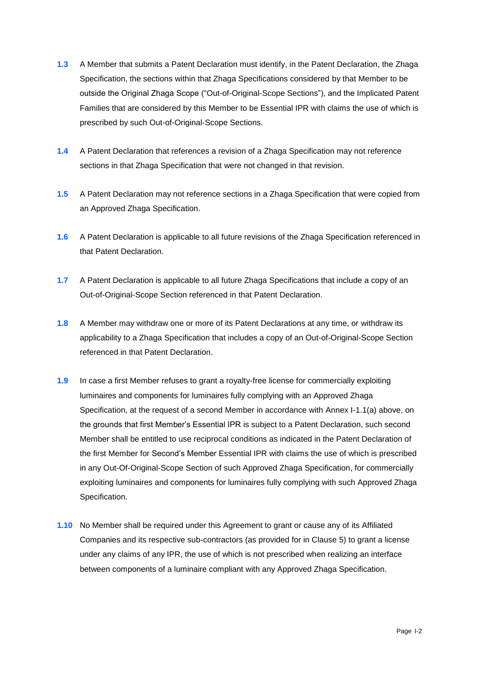- **1.3** A Member that submits a Patent Declaration must identify, in the Patent Declaration, the Zhaga Specification, the sections within that Zhaga Specifications considered by that Member to be outside the Original Zhaga Scope ("Out-of-Original-Scope Sections"), and the Implicated Patent Families that are considered by this Member to be Essential IPR with claims the use of which is prescribed by such Out-of-Original-Scope Sections.
- **1.4** A Patent Declaration that references a revision of a Zhaga Specification may not reference sections in that Zhaga Specification that were not changed in that revision.
- **1.5** A Patent Declaration may not reference sections in a Zhaga Specification that were copied from an Approved Zhaga Specification.
- **1.6** A Patent Declaration is applicable to all future revisions of the Zhaga Specification referenced in that Patent Declaration.
- **1.7** A Patent Declaration is applicable to all future Zhaga Specifications that include a copy of an Out-of-Original-Scope Section referenced in that Patent Declaration.
- **1.8** A Member may withdraw one or more of its Patent Declarations at any time, or withdraw its applicability to a Zhaga Specification that includes a copy of an Out-of-Original-Scope Section referenced in that Patent Declaration.
- **1.9** In case a first Member refuses to grant a royalty-free license for commercially exploiting luminaires and components for luminaires fully complying with an Approved Zhaga Specification, at the request of a second Member in accordance with [Annex](#page-32-2) I[-1.1\(a\)](#page-32-3) above, on the grounds that first Member's Essential IPR is subject to a Patent Declaration, such second Member shall be entitled to use reciprocal conditions as indicated in the Patent Declaration of the first Member for Second's Member Essential IPR with claims the use of which is prescribed in any Out-Of-Original-Scope Section of such Approved Zhaga Specification, for commercially exploiting luminaires and components for luminaires fully complying with such Approved Zhaga Specification.
- <span id="page-33-0"></span>**1.10** No Member shall be required under this Agreement to grant or cause any of its Affiliated Companies and its respective sub-contractors (as provided for in Clause [5\)](#page-6-2) to grant a license under any claims of any IPR, the use of which is not prescribed when realizing an interface between components of a luminaire compliant with any Approved Zhaga Specification.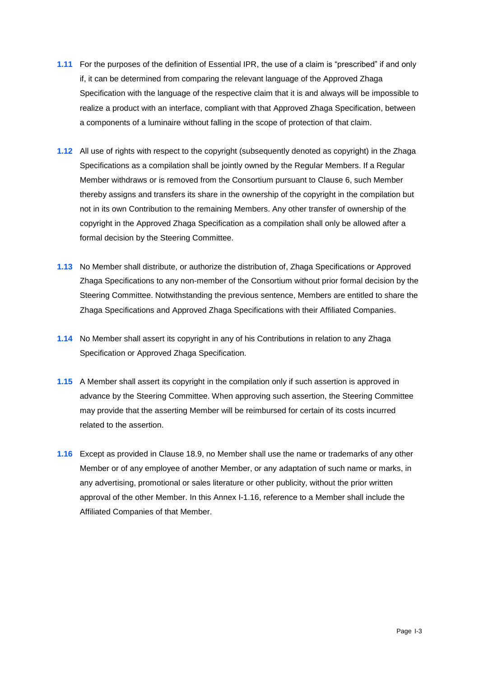- **1.11** For the purposes of the definition of Essential IPR, the use of a claim is "prescribed" if and only if, it can be determined from comparing the relevant language of the Approved Zhaga Specification with the language of the respective claim that it is and always will be impossible to realize a product with an interface, compliant with that Approved Zhaga Specification, between a components of a luminaire without falling in the scope of protection of that claim.
- **1.12** All use of rights with respect to the copyright (subsequently denoted as copyright) in the Zhaga Specifications as a compilation shall be jointly owned by the Regular Members. If a Regular Member withdraws or is removed from the Consortium pursuant to Clause [6,](#page-6-3) such Member thereby assigns and transfers its share in the ownership of the copyright in the compilation but not in its own Contribution to the remaining Members. Any other transfer of ownership of the copyright in the Approved Zhaga Specification as a compilation shall only be allowed after a formal decision by the Steering Committee.
- **1.13** No Member shall distribute, or authorize the distribution of, Zhaga Specifications or Approved Zhaga Specifications to any non-member of the Consortium without prior formal decision by the Steering Committee. Notwithstanding the previous sentence, Members are entitled to share the Zhaga Specifications and Approved Zhaga Specifications with their Affiliated Companies.
- **1.14** No Member shall assert its copyright in any of his Contributions in relation to any Zhaga Specification or Approved Zhaga Specification.
- **1.15** A Member shall assert its copyright in the compilation only if such assertion is approved in advance by the Steering Committee. When approving such assertion, the Steering Committee may provide that the asserting Member will be reimbursed for certain of its costs incurred related to the assertion.
- <span id="page-34-1"></span><span id="page-34-0"></span>**1.16** Except as provided in Clause 18.9, no Member shall use the name or trademarks of any other Member or of any employee of another Member, or any adaptation of such name or marks, in any advertising, promotional or sales literature or other publicity, without the prior written approval of the other Member. In this [Annex](#page-32-2) I[-1.16,](#page-34-1) reference to a Member shall include the Affiliated Companies of that Member.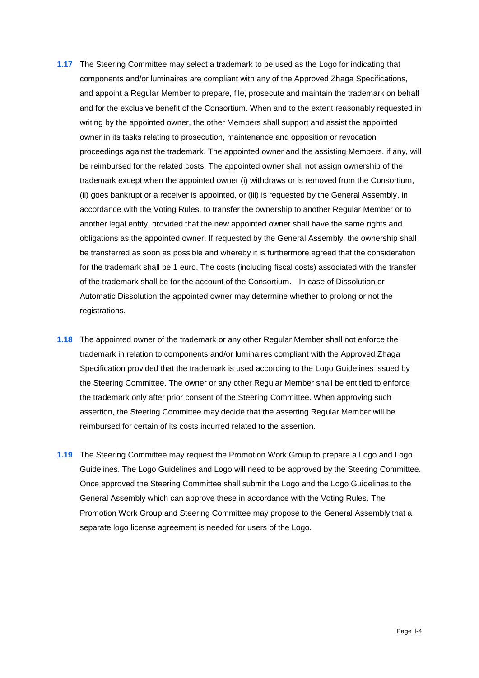- <span id="page-35-0"></span>**1.17** The Steering Committee may select a trademark to be used as the Logo for indicating that components and/or luminaires are compliant with any of the Approved Zhaga Specifications, and appoint a Regular Member to prepare, file, prosecute and maintain the trademark on behalf and for the exclusive benefit of the Consortium. When and to the extent reasonably requested in writing by the appointed owner, the other Members shall support and assist the appointed owner in its tasks relating to prosecution, maintenance and opposition or revocation proceedings against the trademark. The appointed owner and the assisting Members, if any, will be reimbursed for the related costs. The appointed owner shall not assign ownership of the trademark except when the appointed owner (i) withdraws or is removed from the Consortium, (ii) goes bankrupt or a receiver is appointed, or (iii) is requested by the General Assembly, in accordance with the Voting Rules, to transfer the ownership to another Regular Member or to another legal entity, provided that the new appointed owner shall have the same rights and obligations as the appointed owner. If requested by the General Assembly, the ownership shall be transferred as soon as possible and whereby it is furthermore agreed that the consideration for the trademark shall be 1 euro. The costs (including fiscal costs) associated with the transfer of the trademark shall be for the account of the Consortium. In case of Dissolution or Automatic Dissolution the appointed owner may determine whether to prolong or not the registrations.
- <span id="page-35-1"></span>**1.18** The appointed owner of the trademark or any other Regular Member shall not enforce the trademark in relation to components and/or luminaires compliant with the Approved Zhaga Specification provided that the trademark is used according to the Logo Guidelines issued by the Steering Committee. The owner or any other Regular Member shall be entitled to enforce the trademark only after prior consent of the Steering Committee. When approving such assertion, the Steering Committee may decide that the asserting Regular Member will be reimbursed for certain of its costs incurred related to the assertion.
- **1.19** The Steering Committee may request the Promotion Work Group to prepare a Logo and Logo Guidelines. The Logo Guidelines and Logo will need to be approved by the Steering Committee. Once approved the Steering Committee shall submit the Logo and the Logo Guidelines to the General Assembly which can approve these in accordance with the Voting Rules. The Promotion Work Group and Steering Committee may propose to the General Assembly that a separate logo license agreement is needed for users of the Logo.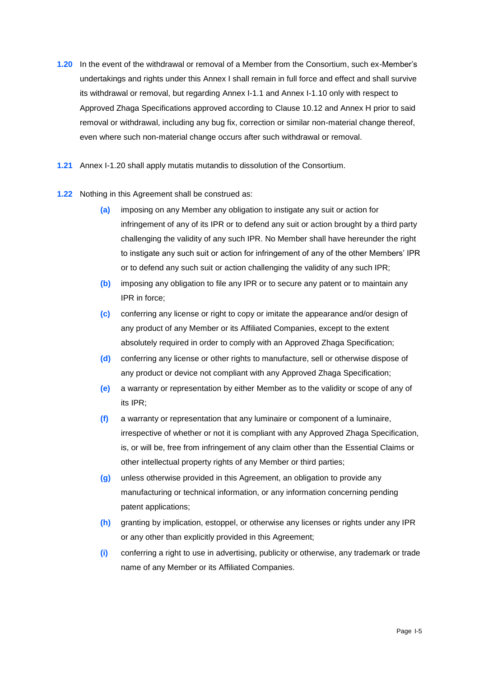- <span id="page-36-0"></span>**1.20** In the event of the withdrawal or removal of a Member from the Consortium, such ex-Member's undertakings and rights under this [Annex](#page-32-2) I shall remain in full force and effect and shall survive its withdrawal or removal, but regarding [Annex](#page-32-2) I[-1.1](#page-32-4) and [Annex](#page-32-2) I[-1.10](#page-33-0) only with respect to Approved Zhaga Specifications approved according to Clause [10.12](#page-12-2) and Annex H prior to said removal or withdrawal, including any bug fix, correction or similar non-material change thereof, even where such non-material change occurs after such withdrawal or removal.
- **1.21** [Annex](#page-32-2) I[-1.20](#page-36-0) shall apply mutatis mutandis to dissolution of the Consortium.
- **1.22** Nothing in this Agreement shall be construed as:
	- **(a)** imposing on any Member any obligation to instigate any suit or action for infringement of any of its IPR or to defend any suit or action brought by a third party challenging the validity of any such IPR. No Member shall have hereunder the right to instigate any such suit or action for infringement of any of the other Members' IPR or to defend any such suit or action challenging the validity of any such IPR;
	- **(b)** imposing any obligation to file any IPR or to secure any patent or to maintain any IPR in force;
	- **(c)** conferring any license or right to copy or imitate the appearance and/or design of any product of any Member or its Affiliated Companies, except to the extent absolutely required in order to comply with an Approved Zhaga Specification;
	- **(d)** conferring any license or other rights to manufacture, sell or otherwise dispose of any product or device not compliant with any Approved Zhaga Specification;
	- **(e)** a warranty or representation by either Member as to the validity or scope of any of its IPR;
	- **(f)** a warranty or representation that any luminaire or component of a luminaire, irrespective of whether or not it is compliant with any Approved Zhaga Specification, is, or will be, free from infringement of any claim other than the Essential Claims or other intellectual property rights of any Member or third parties;
	- **(g)** unless otherwise provided in this Agreement, an obligation to provide any manufacturing or technical information, or any information concerning pending patent applications;
	- **(h)** granting by implication, estoppel, or otherwise any licenses or rights under any IPR or any other than explicitly provided in this Agreement;
	- **(i)** conferring a right to use in advertising, publicity or otherwise, any trademark or trade name of any Member or its Affiliated Companies.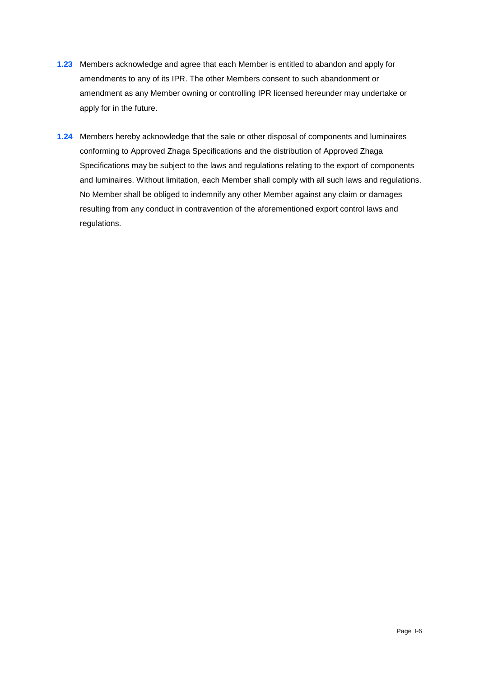- **1.23** Members acknowledge and agree that each Member is entitled to abandon and apply for amendments to any of its IPR. The other Members consent to such abandonment or amendment as any Member owning or controlling IPR licensed hereunder may undertake or apply for in the future.
- **1.24** Members hereby acknowledge that the sale or other disposal of components and luminaires conforming to Approved Zhaga Specifications and the distribution of Approved Zhaga Specifications may be subject to the laws and regulations relating to the export of components and luminaires. Without limitation, each Member shall comply with all such laws and regulations. No Member shall be obliged to indemnify any other Member against any claim or damages resulting from any conduct in contravention of the aforementioned export control laws and regulations.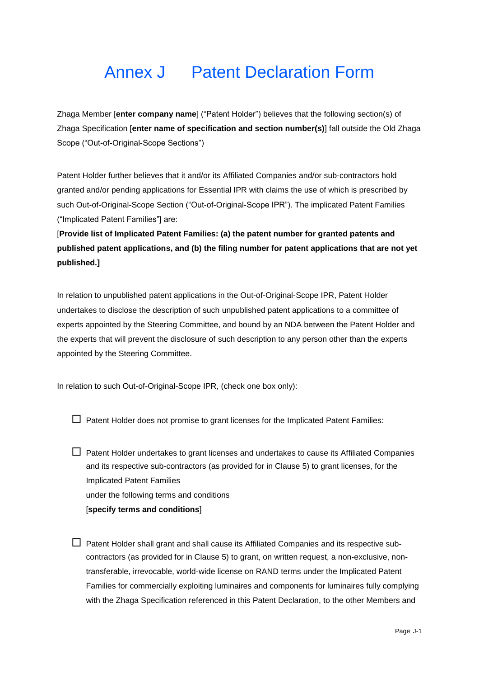## <span id="page-38-0"></span>Annex J Patent Declaration Form

Zhaga Member [**enter company name**] ("Patent Holder") believes that the following section(s) of Zhaga Specification [**enter name of specification and section number(s)**] fall outside the Old Zhaga Scope ("Out-of-Original-Scope Sections")

Patent Holder further believes that it and/or its Affiliated Companies and/or sub-contractors hold granted and/or pending applications for Essential IPR with claims the use of which is prescribed by such Out-of-Original-Scope Section ("Out-of-Original-Scope IPR"). The implicated Patent Families ("Implicated Patent Families"] are:

[**Provide list of Implicated Patent Families: (a) the patent number for granted patents and published patent applications, and (b) the filing number for patent applications that are not yet published.]**

In relation to unpublished patent applications in the Out-of-Original-Scope IPR, Patent Holder undertakes to disclose the description of such unpublished patent applications to a committee of experts appointed by the Steering Committee, and bound by an NDA between the Patent Holder and the experts that will prevent the disclosure of such description to any person other than the experts appointed by the Steering Committee.

In relation to such Out-of-Original-Scope IPR, (check one box only):

 $\Box$  Patent Holder does not promise to grant licenses for the Implicated Patent Families:

 $\Box$  Patent Holder undertakes to grant licenses and undertakes to cause its Affiliated Companies and its respective sub-contractors (as provided for in Clause [5\)](#page-6-2) to grant licenses, for the Implicated Patent Families under the following terms and conditions [**specify terms and conditions**]

 $\Box$  Patent Holder shall grant and shall cause its Affiliated Companies and its respective subcontractors (as provided for in Clause [5\)](#page-6-2) to grant, on written request, a non-exclusive, nontransferable, irrevocable, world-wide license on RAND terms under the Implicated Patent Families for commercially exploiting luminaires and components for luminaires fully complying with the Zhaga Specification referenced in this Patent Declaration, to the other Members and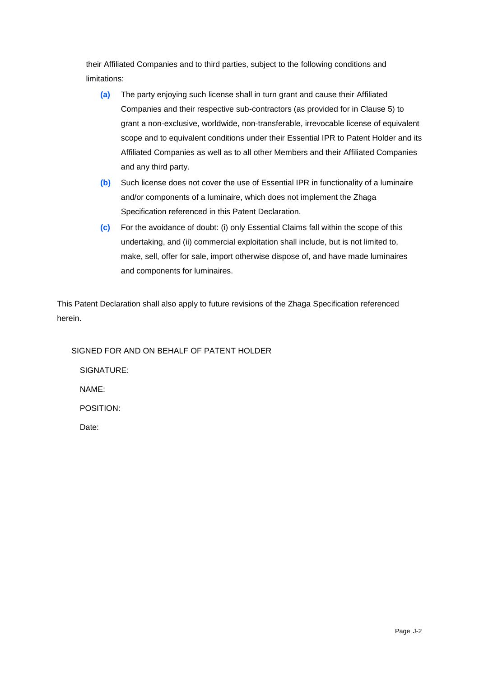their Affiliated Companies and to third parties, subject to the following conditions and limitations:

- **(a)** The party enjoying such license shall in turn grant and cause their Affiliated Companies and their respective sub-contractors (as provided for in Clause [5\)](#page-6-2) to grant a non-exclusive, worldwide, non-transferable, irrevocable license of equivalent scope and to equivalent conditions under their Essential IPR to Patent Holder and its Affiliated Companies as well as to all other Members and their Affiliated Companies and any third party.
- **(b)** Such license does not cover the use of Essential IPR in functionality of a luminaire and/or components of a luminaire, which does not implement the Zhaga Specification referenced in this Patent Declaration.
- **(c)** For the avoidance of doubt: (i) only Essential Claims fall within the scope of this undertaking, and (ii) commercial exploitation shall include, but is not limited to, make, sell, offer for sale, import otherwise dispose of, and have made luminaires and components for luminaires.

This Patent Declaration shall also apply to future revisions of the Zhaga Specification referenced herein.

SIGNED FOR AND ON BEHALF OF PATENT HOLDER SIGNATURE:

NAME:

POSITION:

Date: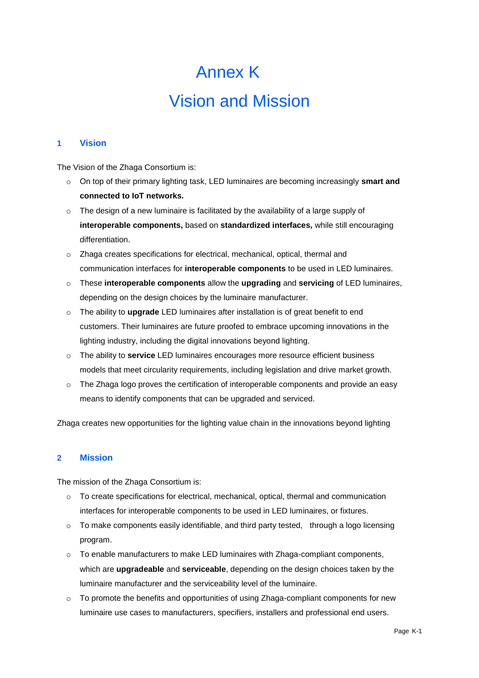# Annex K Vision and Mission

#### <span id="page-40-0"></span>**1 Vision**

The Vision of the Zhaga Consortium is:

- o On top of their primary lighting task, LED luminaires are becoming increasingly **smart and connected to IoT networks.**
- $\circ$  The design of a new luminaire is facilitated by the availability of a large supply of **interoperable components,** based on **standardized interfaces,** while still encouraging differentiation.
- o Zhaga creates specifications for electrical, mechanical, optical, thermal and communication interfaces for **interoperable components** to be used in LED luminaires.
- o These **interoperable components** allow the **upgrading** and **servicing** of LED luminaires, depending on the design choices by the luminaire manufacturer.
- o The ability to **upgrade** LED luminaires after installation is of great benefit to end customers. Their luminaires are future proofed to embrace upcoming innovations in the lighting industry, including the digital innovations beyond lighting.
- o The ability to **service** LED luminaires encourages more resource efficient business models that meet circularity requirements, including legislation and drive market growth.
- $\circ$  The Zhaga logo proves the certification of interoperable components and provide an easy means to identify components that can be upgraded and serviced.

Zhaga creates new opportunities for the lighting value chain in the innovations beyond lighting

#### **2 Mission**

The mission of the Zhaga Consortium is:

- $\circ$  To create specifications for electrical, mechanical, optical, thermal and communication interfaces for interoperable components to be used in LED luminaires, or fixtures.
- $\circ$  To make components easily identifiable, and third party tested, through a logo licensing program.
- $\circ$  To enable manufacturers to make LED luminaires with Zhaga-compliant components, which are **upgradeable** and **serviceable**, depending on the design choices taken by the luminaire manufacturer and the serviceability level of the luminaire.
- o To promote the benefits and opportunities of using Zhaga-compliant components for new luminaire use cases to manufacturers, specifiers, installers and professional end users.